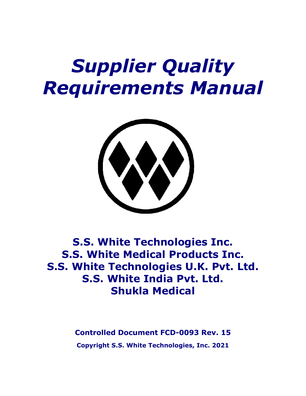# *Supplier Quality Requirements Manual*



# **S.S. White Technologies Inc. S.S. White Medical Products Inc. S.S. White Technologies U.K. Pvt. Ltd. S.S. White India Pvt. Ltd. Shukla Medical**

**Controlled Document FCD-0093 Rev. 15 Copyright S.S. White Technologies, Inc. 2021**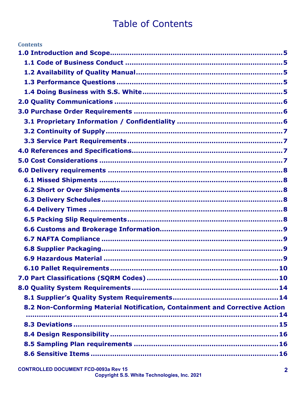# **Table of Contents**

| <b>Contents</b>                                                             |
|-----------------------------------------------------------------------------|
|                                                                             |
|                                                                             |
|                                                                             |
|                                                                             |
|                                                                             |
|                                                                             |
|                                                                             |
|                                                                             |
|                                                                             |
|                                                                             |
|                                                                             |
|                                                                             |
|                                                                             |
|                                                                             |
|                                                                             |
|                                                                             |
|                                                                             |
|                                                                             |
|                                                                             |
|                                                                             |
|                                                                             |
|                                                                             |
|                                                                             |
|                                                                             |
|                                                                             |
|                                                                             |
| 8.2 Non-Conforming Material Notification, Containment and Corrective Action |
|                                                                             |
|                                                                             |
|                                                                             |
|                                                                             |
|                                                                             |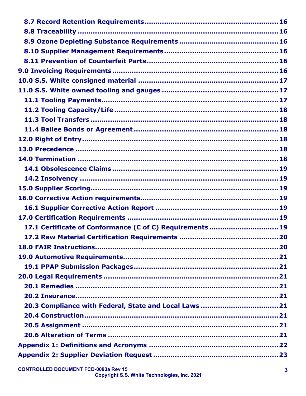| 17.1 Certificate of Conformance (C of C) Requirements  19 |  |
|-----------------------------------------------------------|--|
|                                                           |  |
|                                                           |  |
|                                                           |  |
|                                                           |  |
|                                                           |  |
|                                                           |  |
|                                                           |  |
|                                                           |  |
|                                                           |  |
|                                                           |  |
|                                                           |  |
|                                                           |  |
|                                                           |  |
|                                                           |  |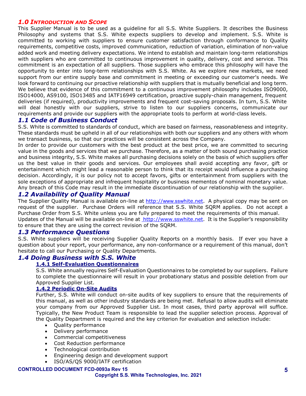#### <span id="page-4-0"></span>*1.0 INTRODUCTION AND SCOPE*

This Supplier Manual is to be used as a guideline for all S.S. White Suppliers. It describes the Business Philosophy and systems that S.S. White expects suppliers to develop and implement. S.S. White is committed to working with suppliers to ensure customer satisfaction through conformance to Quality requirements, competitive costs, improved communication, reduction of variation, elimination of non-value added work and meeting delivery expectations. We intend to establish and maintain long-term relationships with suppliers who are committed to continuous improvement in quality, delivery, cost and service. This commitment is an expectation of all suppliers. Those suppliers who embrace this philosophy will have the opportunity to enter into long-term relationships with S.S. White. As we explore new markets, we need support from our entire supply base and commitment in meeting or exceeding our customer's needs. We look forward to continuing our proactive relationship with suppliers that is mutually beneficial and long term. We believe that evidence of this commitment to a continuous improvement philosophy includes ISO9000, ISO14000, AS9100, ISO13485 and IATF16949 certification, proactive supply-chain management, frequent deliveries (if required), productivity improvements and frequent cost-saving proposals. In turn, S.S. White will deal honestly with our suppliers, strive to listen to our suppliers concerns, communicate our requirements and provide our suppliers with the appropriate tools to perform at world-class levels.

#### <span id="page-4-1"></span>*1.1 Code of Business Conduct*

S.S. White is committed to standards of conduct, which are based on fairness, reasonableness and integrity. These standards must be upheld in all of our relationships with both our suppliers and any others with whom we transact business, so that our practices will be consistent across the Company.

In order to provide our customers with the best product at the best price, we are committed to securing value in the goods and services that we purchase. Therefore, as a matter of both sound purchasing practice and business integrity, S.S. White makes all purchasing decisions solely on the basis of which suppliers offer us the best value in their goods and services. Our employees shall avoid accepting any favor, gift or entertainment which might lead a reasonable person to think that its receipt would influence a purchasing decision. Accordingly, it is our policy not to accept favors, gifts or entertainment from suppliers with the sole exceptions of appropriate and infrequent hospitality or business mementos of nominal monetary value. Any breach of this Code may result in the immediate discontinuation of our relationship with the supplier.

# <span id="page-4-2"></span>*1.2 Availability of Quality Manual*

The Supplier Quality Manual is available on-line at http://[www.ssw](http://www.ssw/)hite.net. A physical copy may be sent on request of the supplier. Purchase Orders will reference that S.S. White SQRM applies. Do not accept a Purchase Order from S.S. White unless you are fully prepared to meet the requirements of this manual. Updates of the Manual will be available on-line at [http://www.sswhite.net.](http://www.sswt.com/) It is the Supplier's responsibility to ensure that they are using the correct revision of the SQRM.

#### <span id="page-4-3"></span>*1.3 Performance Questions*

S.S. White suppliers will be receiving Supplier Quality Reports on a monthly basis. If ever you have a question about your report, your performance, any non-conformance or a requirement of this manual, don't hesitate to call our Purchasing or Quality Departments.

#### <span id="page-4-4"></span>*1.4 Doing Business with S.S. White*

#### **1.4.1 Self-Evaluation Questionnaires**

S.S. White annually requires Self-Evaluation Questionnaires to be completed by our suppliers. Failure to complete the questionnaire will result in your probationary status and possible deletion from our Approved Supplier List.

#### **1.4.2 Periodic On-Site Audits**

Further, S.S. White will conduct on-site audits of key suppliers to ensure that the requirements of this manual, as well as other industry standards are being met. Refusal to allow audits will eliminate your company from our Approved Supplier List. In most cases, third party approval will suffice. Typically, the New Product Team is responsible to lead the supplier selection process. Approval of the Quality Department is required and the key criterion for evaluation and selection include:

- Quality performance
- Delivery performance
- Commercial competitiveness
- Cost Reduction performance
- Technological contribution
- Engineering design and development support
- ISO/AS/QS 9000/IATF certification

#### **CONTROLLED DOCUMENT FCD-0093a Rev 15**

#### **Copyright S.S. White Technologies, Inc. 2021**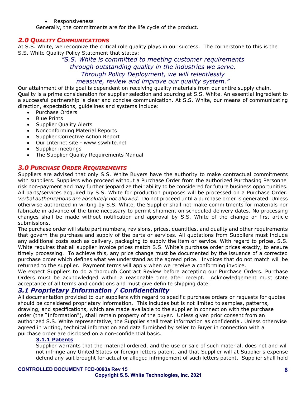• Responsiveness

Generally, the commitments are for the life cycle of the product.

#### <span id="page-5-0"></span>*2.0 QUALITY COMMUNICATIONS*

At S.S. White, we recognize the critical role quality plays in our success. The cornerstone to this is the S.S. White Quality Policy Statement that states:

> *"S.S. White is committed to meeting customer requirements through outstanding quality in the industries we serve. Through Policy Deployment, we will relentlessly measure, review and improve our quality system."*

Our attainment of this goal is dependent on receiving quality materials from our entire supply chain. Quality is a prime consideration for supplier selection and sourcing at S.S. White. An essential ingredient to a successful partnership is clear and concise communication. At S.S. White, our means of communicating direction, expectations, guidelines and systems include:

- Purchase Orders
- **Blue Prints**
- Supplier Quality Alerts
- Nonconforming Material Reports
- Supplier Corrective Action Report
- Our Internet site www.sswhite.net
- Supplier meetings
- The Supplier Quality Requirements Manual

#### <span id="page-5-1"></span>*3.0 PURCHASE ORDER REQUIREMENTS*

Suppliers are advised that only S.S. White Buyers have the authority to make contractual commitments with suppliers. Suppliers who proceed without a Purchase Order from the authorized Purchasing Personnel risk non-payment and may further jeopardize their ability to be considered for future business opportunities. All parts/services acquired by S.S. White for production purposes will be processed on a Purchase Order. *Verbal authorizations are absolutely not allowed.* Do not proceed until a purchase order is generated. Unless otherwise authorized in writing by S.S. White, the Supplier shall not make commitments for materials nor fabricate in advance of the time necessary to permit shipment on scheduled delivery dates. No processing changes shall be made without notification and approval by S.S. White of the change or first article submissions.

The purchase order will state part numbers, revisions, prices, quantities, and quality and other requirements that govern the purchase and supply of the parts or services. All quotations from Suppliers must include any additional costs such as delivery, packaging to supply the item or service. With regard to prices, S.S. White requires that all supplier invoice prices match S.S. White's purchase order prices exactly, to ensure timely processing. To achieve this, any price change must be documented by the issuance of a corrected purchase order which defines what we understand as the agreed price. Invoices that do not match will be returned to the supplier. Payment terms will apply when we receive a conforming invoice.

We expect Suppliers to do a thorough Contract Review before accepting our Purchase Orders. Purchase Orders must be acknowledged within a reasonable time after receipt. Acknowledgement must state acceptance of all terms and conditions and must give definite shipping date.

#### <span id="page-5-2"></span>*3.1 Proprietary Information / Confidentiality*

All documentation provided to our suppliers with regard to specific purchase orders or requests for quotes should be considered proprietary information. This includes but is not limited to samples, patterns, drawing, and specifications, which are made available to the supplier in connection with the purchase order (the "Information"), shall remain property of the buyer. Unless given prior consent from an authorized S.S. White representative, the Supplier shall treat information as confidential. Unless otherwise agreed in writing, technical information and data furnished by seller to Buyer in connection with a purchase order are disclosed on a non-confidential basis.

#### **3.1.1 Patents**

Supplier warrants that the material ordered, and the use or sale of such material, does not and will not infringe any United States or foreign letters patent, and that Supplier will at Supplier's expense defend any suit brought for actual or alleged infringement of such letters patent. Supplier shall hold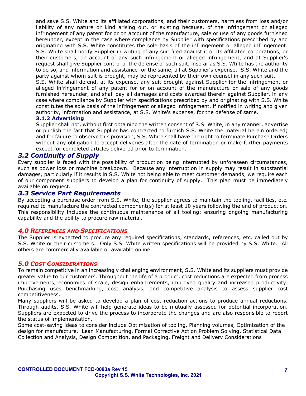and save S.S. White and its affiliated corporations, and their customers, harmless from loss and/or liability of any nature or kind arising out, or existing because, of the infringement or alleged infringement of any patent for or on account of the manufacture, sale or use of any goods furnished hereunder, except in the case where compliance by Supplier with specifications prescribed by and originating with S.S. White constitutes the sole basis of the infringement or alleged infringement. S.S. White shall notify Supplier in writing of any suit filed against it or its affiliated corporations, or their customers, on account of any such infringement or alleged infringement, and at Supplier's request shall give Supplier control of the defense of such suit, insofar as S.S. White has the authority to do so, and information and assistance for the same, all at Supplier's expense. S.S. White and the party against whom suit is brought, may be represented by their own counsel in any such suit.

S.S. White shall defend, at its expense, any suit brought against Supplier for the infringement or alleged infringement of any patent for or on account of the manufacture or sale of any goods furnished hereunder, and shall pay all damages and costs awarded therein against Supplier, in any case where compliance by Supplier with specifications prescribed by and originating with S.S. White constitutes the sole basis of the infringement or alleged infringement, if notified in writing and given authority, information and assistance, at S.S. White's expense, for the defense of same.

#### **3.1.2 Advertising**

Supplier shall not, without first obtaining the written consent of S.S. White, in any manner, advertise or publish the fact that Supplier has contracted to furnish S.S. White the material herein ordered; and for failure to observe this provision, S.S. White shall have the right to terminate Purchase Orders without any obligation to accept deliveries after the date of termination or make further payments except for completed articles delivered prior to termination.

#### <span id="page-6-0"></span>*3.2 Continuity of Supply*

Every supplier is faced with the possibility of production being interrupted by unforeseen circumstances, such as power loss or machine breakdown. Because any interruption in supply may result in substantial damages, particularly if it results in S.S. White not being able to meet customer demands, we require each of our component suppliers to develop a plan for continuity of supply. This plan must be immediately available on request.

#### <span id="page-6-1"></span>*3.3 Service Part Requirements*

By accepting a purchase order from S.S. White, the supplier agrees to maintain the tooling, facilities, etc. required to manufacture the contracted component(s) for at least 10 years following the end of production. This responsibility includes the continuous maintenance of all tooling; ensuring ongoing manufacturing capability and the ability to procure raw material.

#### <span id="page-6-2"></span>*4.0 REFERENCES AND SPECIFICATIONS*

The Supplier is expected to procure any required specifications, standards, references, etc. called out by S.S. White or their customers. Only S.S. White written specifications will be provided by S.S. White. All others are commercially available or available online.

#### <span id="page-6-3"></span>*5.0 COST CONSIDERATIONS*

To remain competitive in an increasingly challenging environment, S.S. White and its suppliers must provide greater value to our customers. Throughout the life of a product, cost reductions are expected from process improvements, economies of scale, design enhancements, improved quality and increased productivity. Purchasing uses benchmarking, cost analysis, and competitive analysis to assess supplier cost competitiveness.

Many suppliers will be asked to develop a plan of cost reduction actions to produce annual reductions. Through audits, S.S. White will help generate ideas to be mutually assessed for potential incorporation. Suppliers are expected to drive the process to incorporate the changes and are also responsible to report the status of implementation.

Some cost-saving ideas to consider include Optimization of tooling, Planning volumes, Optimization of the design for manufacture, Lean Manufacturing, Formal Corrective Action Problem Solving, Statistical Data Collection and Analysis, Design Competition, and Packaging, Freight and Delivery Considerations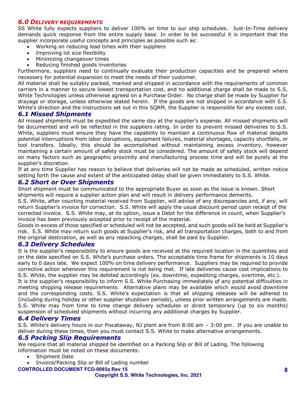#### <span id="page-7-0"></span>*6.0 DELIVERY REQUIREMENTS*

SS White fully expects suppliers to deliver 100% on time to our ship schedules. Just-In-Time delivery demands quick response from the entire supply base. In order to be successful it is important that the supplier incorporate useful concepts and principles as possible such as:

• Working on reducing lead times with their suppliers

- Improving lot size flexibility
- Minimizing changeover times
- Reducing finished goods inventories

Furthermore, suppliers need to continually evaluate their production capacities and be prepared where necessary for potential expansion to meet the needs of their customer.

All material shall be suitably packed, marked and shipped in accordance with the requirements of common carriers in a manner to secure lowest transportation cost, and no additional charge shall be made to S.S. White Technologies unless otherwise agreed on a Purchase Order. No charge shall be made by Supplier for drayage or storage, unless otherwise stated herein. If the goods are not shipped in accordance with S.S. White's direction and the instructions set out in this SQRM, the Supplier is responsible for any excess cost.

#### <span id="page-7-1"></span>*6.1 Missed Shipments*

All missed shipments must be expedited the same day at the supplier's expense. All missed shipments will be documented and will be reflected in the suppliers rating. In order to prevent missed deliveries to S.S. White, suppliers must ensure they have the capability to maintain a continuous flow of material despite potential interruptions from labor disruptions, equipment failures, material shortages, capacity shortfalls, or tool transfers. Ideally, this should be accomplished without maintaining excess inventory, however maintaining a certain amount of safety stock must be considered. The amount of safety stock will depend on many factors such as geographic proximity and manufacturing process time and will be purely at the supplier's discretion.

If at any time Supplier has reason to believe that deliveries will not be made as scheduled, written notice setting forth the cause and extent of the anticipated delay shall be given immediately to S.S. White.

# <span id="page-7-2"></span>*6.2 Short or Over Shipments*

Short shipment must be communicated to the appropriate Buyer as soon as the issue is known. Short shipments will require a supplier action plan and will result in delivery performance demerits.

S.S. White, after counting material received from Supplier, will advise of any discrepancies and, if any, will return Supplier's invoice for correction. S.S. White will apply the usual discount period upon receipt of the corrected invoice. S.S. White may, at its option, issue a Debit for the difference in count, when Supplier's invoice has been previously accepted prior to receipt of the material.

Goods in excess of those specified or scheduled will not be accepted, and such goods will be held at Supplier's risk. S.S. White may return such goods at Supplier's risk, and all transportation charges, both to and from the original destination, as well as any repacking charges, shall be paid by Supplier.

#### <span id="page-7-3"></span>*6.3 Delivery Schedules*

It is the supplier's responsibility to ensure goods are received at the required location in the quantities and on the date specified on S.S. White's purchase orders. The acceptable time frame for shipments is 10 days early to 0 days late. We expect 100% on time delivery performance. Suppliers may be required to provide corrective action whenever this requirement is not being met. If late deliveries cause cost implications to S.S. White, the supplier may be debited accordingly (ex. downtime, expediting charges, overtime, etc.).

It is the supplier's responsibility to inform S.S. White Purchasing immediately of any potential difficulties in meeting shipping release requirements. Alternative plans may be available which would avoid downtime and the corresponding costs. S.S. White's expectation is that all shipping releases will be adhered to (including during holiday or other supplier shutdown periods), unless prior written arrangements are made. S.S. White may from time to time change delivery schedules or direct temporary (up to six months) suspension of scheduled shipments without incurring any additional charges by Supplier.

#### <span id="page-7-4"></span>*6.4 Delivery Times*

S.S. White's delivery hours in our Piscataway, NJ plant are from 8:00 am – 3:00 pm. If you are unable to deliver during these times, then you must contact S.S. White to make alternative arrangements.

#### <span id="page-7-5"></span>*6.5 Packing Slip Requirements*

We require that all material shipped be identified on a Packing Slip or Bill of Lading. The following information must be noted on these documents:

- Shipment Date
- Invoice/Packing Slip or Bill of Lading number

#### **CONTROLLED DOCUMENT FCD-0093a Rev 15**

**Copyright S.S. White Technologies, Inc. 2021**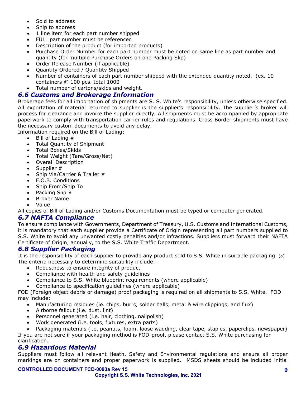- Sold to address
- Ship to address
- 1 line item for each part number shipped
- FULL part number must be referenced
- Description of the product (for imported products)
- Purchase Order Number for each part number must be noted on same line as part number and quantity (for multiple Purchase Orders on one Packing Slip)
- Order Release Number (if applicable)
- Quantity Ordered / Quantity Shipped
- Number of containers of each part number shipped with the extended quantity noted. (ex. 10 containers @ 100 pcs. total 1000
- Total number of cartons/skids and weight.

# <span id="page-8-0"></span>*6.6 Customs and Brokerage Information*

Brokerage fees for all importation of shipments are S. S. White's responsibility, unless otherwise specified. All exportation of material returned to supplier is the supplier's responsibility. The supplier's broker will process for clearance and invoice the supplier directly. All shipments must be accompanied by appropriate paperwork to comply with transportation carrier rules and regulations. Cross Border shipments must have the necessary custom documents to avoid any delay.

Information required on the Bill of Lading:

- Bill of Lading #
- Total Quantity of Shipment
- Total Boxes/Skids
- Total Weight (Tare/Gross/Net)
- Overall Description
- Supplier #
- Ship Via/Carrier & Trailer #
- F.O.B. Conditions
- Ship From/Ship To
- Packing Slip #
- Broker Name
- Value

All copies of Bill of Lading and/or Customs Documentation must be typed or computer generated.

# <span id="page-8-1"></span>*6.7 NAFTA Compliance*

To ensure compliance with Governments, Department of Treasury, U.S. Customs and International Customs, it is mandatory that each supplier provide a Certificate of Origin representing all part numbers supplied to S.S. White to avoid any unwanted costly penalties and/or infractions. Suppliers must forward their NAFTA Certificate of Origin, annually, to the S.S. White Traffic Department.

# <span id="page-8-2"></span>*6.8 Supplier Packaging*

It is the responsibility of each supplier to provide any product sold to S.S. White in suitable packaging. (a) The criteria necessary to determine suitability include:

- Robustness to ensure integrity of product
- Compliance with health and safety guidelines
- Compliance to S.S. White blueprint requirements (where applicable)
- Compliance to specification guidelines (where applicable)

FOD (Foreign object debris or damage) proof packaging is required on all shipments to S.S. White. FOD may include:

- Manufacturing residues (ie. chips, burrs, solder balls, metal & wire clippings, and flux)
- Airborne fallout (i.e. dust, lint)
- Personnel generated (i.e. hair, clothing, nailpolish)
- Work generated (i.e. tools, fixtures, extra parts)

• Packaging materials (i.e. peanuts, foam, loose wadding, clear tape, staples, paperclips, newspaper) If you are not sure if your packaging method is FOD-proof, please contact S.S. White purchasing for clarification.

#### <span id="page-8-3"></span>*6.9 Hazardous Material*

Suppliers must follow all relevant Heath, Safety and Environmental regulations and ensure all proper markings are on containers and proper paperwork is supplied. MSDS sheets should be included initial

#### **CONTROLLED DOCUMENT FCD-0093a Rev 15**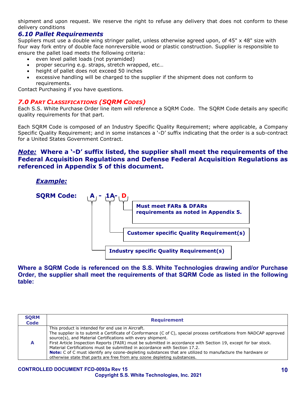shipment and upon request. We reserve the right to refuse any delivery that does not conform to these delivery conditions

# <span id="page-9-0"></span>*6.10 Pallet Requirements*

Suppliers must use a double wing stringer pallet, unless otherwise agreed upon, of 45" x 48" size with four way fork entry of double face nonreversible wood or plastic construction. Supplier is responsible to ensure the pallet load meets the following criteria:

- even level pallet loads (not pyramided)
- proper securing e.g. straps, stretch wrapped, etc…
- height of pallet does not exceed 50 inches
- excessive handling will be charged to the supplier if the shipment does not conform to requirements.

Contact Purchasing if you have questions.

#### <span id="page-9-1"></span>*7.0 PART CLASSIFICATIONS (SQRM CODES)*

Each S.S. White Purchase Order line item will reference a SQRM Code. The SQRM Code details any specific quality requirements for that part.

Each SQRM Code is composed of an Industry Specific Quality Requirement; where applicable, a Company Specific Quality Requirement; and in some instances a '-D' suffix indicating that the order is a sub-contract for a United States Government Contract.

# *Note:* **Where a '-D' suffix listed, the supplier shall meet the requirements of the Federal Acquisition Regulations and Defense Federal Acquisition Regulations as referenced in Appendix 5 of this document.**

*Example:*



**Where a SQRM Code is referenced on the S.S. White Technologies drawing and/or Purchase Order, the supplier shall meet the requirements of that SQRM Code as listed in the following table:**

| <b>SORM</b><br><b>Code</b> | <b>Requirement</b>                                                                                                                                                                                                                                                                                                                                                                                                                                                                                                                                                                                                                        |
|----------------------------|-------------------------------------------------------------------------------------------------------------------------------------------------------------------------------------------------------------------------------------------------------------------------------------------------------------------------------------------------------------------------------------------------------------------------------------------------------------------------------------------------------------------------------------------------------------------------------------------------------------------------------------------|
|                            | This product is intended for end use in Aircraft.<br>The supplier is to submit a Certificate of Conformance (C of C), special process certifications from NADCAP approved<br>source(s), and Material Certifications with every shipment.<br>First Article Inspection Reports (FAIR) must be submitted in accordance with Section 19, except for bar stock.<br>Material Certifications must be submitted in accordance with Section 17.2.<br><b>Note:</b> C of C must identify any ozone-depleting substances that are utilized to manufacture the hardware or<br>otherwise state that parts are free from any ozone depleting substances. |

#### **CONTROLLED DOCUMENT FCD-0093a Rev 15 Copyright S.S. White Technologies, Inc. 2021**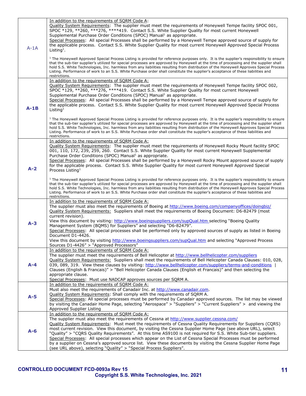|         | In addition to the requirements of SQRM Code A:                                                                                                                                                                                                                                                                                                                                                                                                                                                                                                                                             |
|---------|---------------------------------------------------------------------------------------------------------------------------------------------------------------------------------------------------------------------------------------------------------------------------------------------------------------------------------------------------------------------------------------------------------------------------------------------------------------------------------------------------------------------------------------------------------------------------------------------|
| $A-1A$  | Quality System Requirements: The supplier must meet the requirements of Honeywell Tempe facility SPOC 001,<br>SPOC *129, **260, *** 276, **** 419. Contact S.S. White Supplier Quality for most current Honeywell<br>Supplemental Purchase Order Conditions (SPOC) Manual <sup>1</sup> as appropriate.                                                                                                                                                                                                                                                                                      |
|         | Special Processes: All special Processes shall be performed by a Honeywell Tempe approved source of supply for<br>the applicable process. Contact S.S. White Supplier Quality for most current Honeywell Approved Special Process<br>Listing <sup>1</sup> .                                                                                                                                                                                                                                                                                                                                 |
|         | <sup>1</sup> The Honeywell Approved Special Process Listing is provided for reference purposes only. It is the supplier's responsibility to ensure<br>that the sub-tier supplier's utilized for special processes are approved by Honeywell at the time of processing and the supplier shall<br>hold S.S. White Technologies, Inc. harmless from any liabilities resulting from distribution of the Honeywell Approves Special Process<br>Listing. Performance of work to an S.S. White Purchase order shall constitute the supplier's acceptance of these liabilities and<br>restrictions. |
|         | In addition to the requirements of SQRM Code A:                                                                                                                                                                                                                                                                                                                                                                                                                                                                                                                                             |
|         | Quality System Requirements: The supplier must meet the requirements of Honeywell Tempe facility SPOC 002,                                                                                                                                                                                                                                                                                                                                                                                                                                                                                  |
|         | SPOC *129, **260, ***276, ****419. Contact S.S. White Supplier Quality for most current Honeywell<br>Supplemental Purchase Order Conditions (SPOC) Manual <sup>1</sup> as appropriate.                                                                                                                                                                                                                                                                                                                                                                                                      |
|         | Special Processes: All special Processes shall be performed by a Honeywell Tempe approved source of supply for                                                                                                                                                                                                                                                                                                                                                                                                                                                                              |
|         | the applicable process. Contact S.S. White Supplier Quality for most current Honeywell Approved Special Process                                                                                                                                                                                                                                                                                                                                                                                                                                                                             |
| $A-1B$  | Listing <sup>1</sup>                                                                                                                                                                                                                                                                                                                                                                                                                                                                                                                                                                        |
|         | <sup>1</sup> The Honeywell Approved Special Process Listing is provided for reference purposes only. It is the supplier's responsibility to ensure<br>that the sub-tier supplier's utilized for special processes are approved by Honeywell at the time of processing and the supplier shall<br>hold S.S. White Technologies, Inc. harmless from any liabilities resulting from distribution of the Honeywell Approves Special Process<br>Listing. Performance of work to an S.S. White Purchase order shall constitute the supplier's acceptance of these liabilities and<br>restrictions. |
|         | In addition to the requirements of SQRM Code A:                                                                                                                                                                                                                                                                                                                                                                                                                                                                                                                                             |
|         | Quality System Requirements: The supplier must meet the requirements of Honeywell Rocky Mount facility SPOC                                                                                                                                                                                                                                                                                                                                                                                                                                                                                 |
|         | 001, 110, 172, 239, 259, 260. Contact S.S. White Supplier Quality for most current Honeywell Supplemental                                                                                                                                                                                                                                                                                                                                                                                                                                                                                   |
|         | Purchase Order Conditions (SPOC) Manual <sup>1</sup> as appropriate.<br>Special Processes: All special Processes shall be performed by a Honeywell Rocky Mount approved source of supply                                                                                                                                                                                                                                                                                                                                                                                                    |
|         | for the applicable process. Contact S.S. White Supplier Quality for most current Honeywell Approved Special                                                                                                                                                                                                                                                                                                                                                                                                                                                                                 |
| $A-2$   | Process Listing <sup>1</sup>                                                                                                                                                                                                                                                                                                                                                                                                                                                                                                                                                                |
|         |                                                                                                                                                                                                                                                                                                                                                                                                                                                                                                                                                                                             |
|         | <sup>1</sup> The Honeywell Approved Special Process Listing is provided for reference purposes only. It is the supplier's responsibility to ensure<br>that the sub-tier supplier's utilized for special processes are approved by Honeywell at the time of processing and the supplier shall                                                                                                                                                                                                                                                                                                |
|         | hold S.S. White Technologies, Inc. harmless from any liabilities resulting from distribution of the Honeywell Approves Special Process                                                                                                                                                                                                                                                                                                                                                                                                                                                      |
|         | Listing. Performance of work to an S.S. White Purchase order shall constitute the supplier's acceptance of these liabilities and<br>restrictions.                                                                                                                                                                                                                                                                                                                                                                                                                                           |
|         | In addition to the requirements of SQRM Code A:                                                                                                                                                                                                                                                                                                                                                                                                                                                                                                                                             |
|         | The supplier must also meet the requirements of Boeing at http://www.boeing.com/companyoffices/doingbiz/                                                                                                                                                                                                                                                                                                                                                                                                                                                                                    |
|         | Quality System Requirements: Suppliers shall meet the requirements of Boeing Document: D6-82479 (most                                                                                                                                                                                                                                                                                                                                                                                                                                                                                       |
|         | current revision).<br>View this document by visiting: http://www.boeingsuppliers.com/supQual.htm_selecting "Boeing Quality                                                                                                                                                                                                                                                                                                                                                                                                                                                                  |
| $A - 3$ | Management System (BQMS) for Suppliers" and selecting "D6-82479".                                                                                                                                                                                                                                                                                                                                                                                                                                                                                                                           |
|         | Special Processes: All special processes shall be performed only by approved sources of supply as listed in Boeing                                                                                                                                                                                                                                                                                                                                                                                                                                                                          |
|         |                                                                                                                                                                                                                                                                                                                                                                                                                                                                                                                                                                                             |
|         | Document D1-4426.                                                                                                                                                                                                                                                                                                                                                                                                                                                                                                                                                                           |
|         | View this document by visiting http://www.boeingsuppliers.com/supQual.htm and selecting "Approved Process                                                                                                                                                                                                                                                                                                                                                                                                                                                                                   |
|         | Sources D1-4426" > "Approved Processors"                                                                                                                                                                                                                                                                                                                                                                                                                                                                                                                                                    |
|         | In addition to the requirements of SQRM Code A:<br>The supplier must meet the requirements of Bell Helicopter at http://www.bellhelicopter.com/suppliers                                                                                                                                                                                                                                                                                                                                                                                                                                    |
|         | Ouality System Requirements: Suppliers shall meet the requirements of Bell Helicopter Canada Clauses: 010, 028,                                                                                                                                                                                                                                                                                                                                                                                                                                                                             |
| $A - 4$ | 039, 089, 319. View these clauses by visiting: http://www.bellhelicopter.com/suppliers/terms-and-conditions                                                                                                                                                                                                                                                                                                                                                                                                                                                                                 |
|         | Clauses (English & Francais)" > "Bell Helicopter Canada Clauses (English et Francais)" and then selecting the                                                                                                                                                                                                                                                                                                                                                                                                                                                                               |
|         | appropriate clause.                                                                                                                                                                                                                                                                                                                                                                                                                                                                                                                                                                         |
|         | Special Processes: Must use NADCAP approves sources per SQRM A.<br>In addition to the requirements of SQRM Code A:                                                                                                                                                                                                                                                                                                                                                                                                                                                                          |
|         | Must also meet the requirements of Canadair Inc. at http://www.canadair.com.                                                                                                                                                                                                                                                                                                                                                                                                                                                                                                                |
|         | Quality System Requirements: Shall comply with the requirements of SQRM A.                                                                                                                                                                                                                                                                                                                                                                                                                                                                                                                  |
| $A-5$   | Special Processes: All special processes must be performed by Canadair approved sources. The list may be viewed                                                                                                                                                                                                                                                                                                                                                                                                                                                                             |
|         | by visiting the Canadair Home Page, selecting "Aerospace" > "Suppliers" > "Current Suppliers" > and viewing the<br>Approved Supplier Listing                                                                                                                                                                                                                                                                                                                                                                                                                                                |
|         | In addition to the requirements of SORM Code A:                                                                                                                                                                                                                                                                                                                                                                                                                                                                                                                                             |
|         | The supplier must also meet the requirements of Cessna at http://www.supplier.cessna.com/                                                                                                                                                                                                                                                                                                                                                                                                                                                                                                   |
|         | Quality System Requirements: Must meet the requirements of Cessna Quality Requirements for Suppliers (CQRS)                                                                                                                                                                                                                                                                                                                                                                                                                                                                                 |
| $A-6$   | most current revision. View this document, by visiting the Cessna Supplier Home Page (see above URL), select                                                                                                                                                                                                                                                                                                                                                                                                                                                                                |
|         | "Quality" > "CQRS Quality Requirements". At this time AS9100 is not required for S.S. White Sub-tier suppliers.                                                                                                                                                                                                                                                                                                                                                                                                                                                                             |
|         | Special Processes: All special processes which appear on the List of Cessna Special Processes must be performed<br>by a supplier on Cessna's approved source list. View these documents by visiting the Cessna Supplier Home Page                                                                                                                                                                                                                                                                                                                                                           |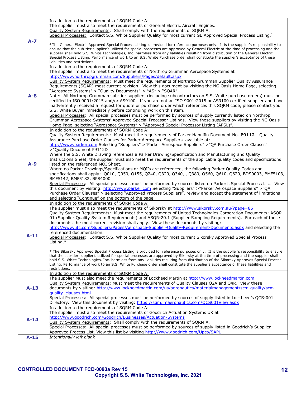|         | In addition to the requirements of SQRM Code A:                                                                                                    |
|---------|----------------------------------------------------------------------------------------------------------------------------------------------------|
|         | The supplier must also meet the requirements of General Electric Aircraft Engines.                                                                 |
|         | Quality System Requirements: Shall comply with the requirements of SQRM A.                                                                         |
|         | Special Processes: Contact S.S. White Supplier Quality for most current GE Approved Special Process Listing. <sup>2</sup>                          |
| $A - 7$ |                                                                                                                                                    |
|         | <sup>2</sup> The General Electric Approved Special Process Listing is provided for reference purposes only. It is the supplier's responsibility to |
|         | ensure that the sub-tier supplier's utilized for special processes are approved by General Electric at the time of processing and the              |
|         | supplier shall hold S.S. White Technologies, Inc. harmless from any liabilities resulting from distribution of the General Electric                |
|         | Special Process Listing. Performance of work to an S.S. White Purchase order shall constitute the supplier's acceptance of these                   |
|         | liabilities and restrictions.                                                                                                                      |
|         | In addition to the requirements of SORM Code A:                                                                                                    |
|         |                                                                                                                                                    |
|         | The supplier must also meet the requirements of Northrop Grumman Aerospace Systems at                                                              |
|         | http://www.northropgrumman.com/Suppliers/Pages/default.aspx                                                                                        |
|         | Quality System Requirements: Must meet the requirements of Northrop Grumman Supplier Quality Assurance                                             |
|         | Requirements (SQAR) most current revision. View this document by visiting the NG Oasis Home Page, selecting                                        |
|         | "Aerospace Systems" > "Quality Documents" > "AS" > "SQAR".                                                                                         |
| $A - 8$ | Note: All Northrop Grumman sub-tier suppliers (including subcontractors on S.S. White purchase orders) must be                                     |
|         | certified to ISO 9001:2015 and/or AS9100. If you are not an ISO 9001:2015 or AS9100 certified supplier and have                                    |
|         | inadvertently received a request for quote or purchase order which references this SQRM code, please contact your                                  |
|         |                                                                                                                                                    |
|         | S.S. White Buyer immediately before continuing work on this item.                                                                                  |
|         | Special Processes: All special processes must be performed by sources of supply currently listed on Northrop                                       |
|         | Grumman Aerospace Systems' Approved Special Processor Listings. View these suppliers by visiting the NG Oasis                                      |
|         | Home Page, selecting "Aerospace Systems" > "Approved Special Processor Listing (APSL)".                                                            |
|         | In addition to the requirements of SQRM Code A:                                                                                                    |
|         | Ouality System Requirements: Must meet the requirements of Parker Hannifin Document No. P9112 - Quality                                            |
|         | Assurance Purchase Order Clauses for Parker Aerospace Suppliers available at:                                                                      |
|         | http://www.parker.com Selecting "Suppliers" > "Parker Aerospace Suppliers" > "QA Purchase Order Clauses"                                           |
|         | >"Quality Document P9112D                                                                                                                          |
|         | Where the S.S. White Drawing references a Parker Drawing/Specification and Manufacturing and Quality                                               |
|         |                                                                                                                                                    |
|         | Instructions Sheet, the supplier must also meet the requirements of the applicable quality codes and specifications                                |
| $A-9$   | listed on the referenced MQI Sheet.                                                                                                                |
|         | Where no Parker Drawings/Specifications or MQI's are referenced, the following Parker Quality Codes and                                            |
|         | specifications shall apply: Q010, Q050, Q155, Q240, Q320, Q340, , Q380, Q560, Q610, Q620, BDS0003, BMF5103,                                        |
|         | BMF5142, BMF5182, BPS4000                                                                                                                          |
|         | Special Processes: All special processes must be performed by sources listed on Parker's Special Process List. View                                |
|         | this document by visiting: http://www.parker.com Selecting "Suppliers" >"Parker Aerospace Suppliers" >"QA                                          |
|         | Purchase Order Clauses" > selecting "Approved Process Suppliers", review and accept the statement of limitations                                   |
|         | and selecting "Continue" on the bottom of the page.                                                                                                |
|         | In addition to the requirements of SQRM Code A:                                                                                                    |
|         | The supplier must also meet the requirements of Sikorsky at http://www.sikorsky.com.au/?page=86                                                    |
|         |                                                                                                                                                    |
|         | Quality System Requirements: Must meet the requirements of United Technologies Corporation Documents: ASQR-                                        |
|         | 01 (Supplier Quality System Requirements) and ASQR-20.1 (Supplier Sampling Requirements). For each of these                                        |
|         | documents, the most current revision shall apply. View these documents by visiting:                                                                |
|         | http://www.utc.com/Suppliers/Pages/Aerospace-Supplier-Quality-Requirement-Documents.aspx and selecting the                                         |
|         | referenced documentation.                                                                                                                          |
| $A-11$  | Special Processes: Contact S.S. White Supplier Quality for most current Sikorsky Approved Special Process                                          |
|         | Listing.*                                                                                                                                          |
|         |                                                                                                                                                    |
|         | * The Sikorsky Approved Special Process Listing is provided for reference purposes only. It is the supplier's responsibility to ensure             |
|         | that the sub-tier supplier's utilized for special processes are approved by Sikorsky at the time of processing and the supplier shall              |
|         | hold S.S. White Technologies, Inc. harmless from any liabilities resulting from distribution of the Sikorsky Approves Special Process              |
|         | Listing. Performance of work to an S.S. White Purchase order shall constitute the supplier's acceptance of these liabilities and                   |
|         | restrictions.                                                                                                                                      |
|         | In addition to the requirements of SQRM Code A:                                                                                                    |
|         | The supplier Must also meet the requirements of Lockheed Martin at http://www.lockheedmartin.com                                                   |
|         | Quality System Requirements: Must meet the requirements of Quality Clauses Q2A and Q4R. View these                                                 |
| $A-13$  | documents by visiting: http://www.lockheedmartin.com/us/aeronautics/materialmanagement/scm-quality/scm-                                            |
|         |                                                                                                                                                    |
|         |                                                                                                                                                    |
|         | guality clauses.html                                                                                                                               |
|         | Special Processes: All special processes must be performed by sources of supply listed in Lockheed's QCS-001                                       |
|         | Directory. View this document by visiting: https://sqm.lmaeronautics.com/QCS001View.aspx                                                           |
|         | In addition to the requirements of SQRM Code A:                                                                                                    |
|         | The supplier must also meet the requirements of Goodrich Actuation Systems UK at                                                                   |
| $A-14$  | http://www.goodrich.com/Goodrich/Businesses/Actuation-Systems                                                                                      |
|         | Quality System Requirements: Shall comply with the requirements of SQRM A.                                                                         |
|         | Special Processes: All special processes must be performed by sources of supply listed in Goodrich's Supplier                                      |
| $A-15$  | Approved Process List. View this list by visiting http://www.goodrich.com/Upco/SAPL.<br>Intentionally left blank                                   |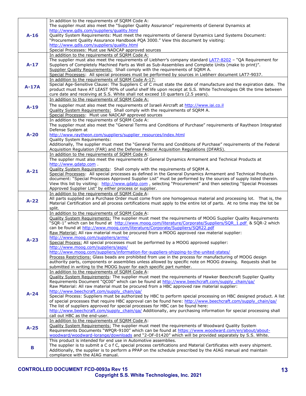|         | In addition to the requirements of SQRM Code A:                                                                                                    |
|---------|----------------------------------------------------------------------------------------------------------------------------------------------------|
|         | The supplier must also meet the "Supplier Quality Assurance" requirements of General Dynamics at                                                   |
|         | http://www.gdls.com/suppliers/quality.html                                                                                                         |
| $A-16$  | Quality System Requirements: Must meet the requirements of General Dynamics Land Systems Document:                                                 |
|         | "Procurement Quality Assurance Handbook PQA 3000." View this document by visiting:                                                                 |
|         | http://www.gdls.com/suppliers/guality.html                                                                                                         |
|         | Special Processes: Must use NADCAP approved sources                                                                                                |
|         | In addition to the requirements of SORM Code A:                                                                                                    |
|         |                                                                                                                                                    |
|         | The supplier must also meet the requirements of Liebherr's company standard LAT7-8202 - "QA Requirement for                                        |
| $A-17$  | Suppliers of Completely Machined Parts as Well as Sub-Assemblies and Complete Units (make to print)".                                              |
|         | Supplier Quality Requirements: Shall comply with the requirements of SQRM A.                                                                       |
|         | Special Processes: All special processes must be performed by sources in Liebherr document LAT7-9037.                                              |
|         | In addition to the requirements of SQRM Code A-17:                                                                                                 |
| $A-17A$ | Special Age-Sensitive Clause: The Suppliers C of C must state the date of manufacture and the expiration date. The                                 |
|         | product must have AT LEAST 90% of useful shelf life upon receipt at S.S. White Technologies OR the time between                                    |
|         | cure date and receiving at S.S. White shall not exceed 10 quarters (2.5 years).                                                                    |
|         | In addition to the requirements of SORM Code A:                                                                                                    |
|         |                                                                                                                                                    |
| $A-19$  | The supplier must also meet the requirements of Israeli Aircraft at http://www.iai.co.il                                                           |
|         | Quality System Requirements: Shall comply with the requirements of SQRM A.                                                                         |
|         | Special Processes: Must use NADCAP approved sources                                                                                                |
|         | In addition to the requirements of SQRM Code A:                                                                                                    |
|         | The supplier must also meet the "General Terms and Conditions of Purchase" requirements of Raytheon Integrated                                     |
|         | Defense System at                                                                                                                                  |
| $A-20$  | http://www.raytheon.com/suppliers/supplier_resources/index.html                                                                                    |
|         | Quality System Requirements:                                                                                                                       |
|         | Additionally, The supplier must meet the "General Terms and Conditions of Purchase" requirements of the Federal                                    |
|         | Acquisition Regulation (FAR) and the Defense Federal Acquisition Regulations (DFARS).                                                              |
|         | In addition to the requirements of SQRM Code A:                                                                                                    |
|         | The supplier must also meet the requirements of General Dynamics Armament and Technical Products at                                                |
|         |                                                                                                                                                    |
|         | http://www.gdatp.com                                                                                                                               |
| $A-21$  | <b>Quality System Requirements:</b> Shall comply with the requirements of SQRM A.                                                                  |
|         | Special Processes: All special processes as defined in the General Dynamics Armament and Technical Products                                        |
|         | document: "Special Processes Approved Supplier List" must be performed by the sources of supply listed therein.                                    |
|         | View this list by visiting: http://www.gdatp.com , selecting "Procurement" and then selecting "Special Processes                                   |
|         | Approved Supplier List" by either process or supplier.                                                                                             |
|         | In addition to the requirements of SORM Code A:                                                                                                    |
|         | All parts supplied on a Purchase Order must come from one homogenous material and processing lot. That is, the                                     |
| $A-22$  | Material Certification and all process certifications must apply to the entire lot of parts. At no time may the lot be                             |
|         | split.                                                                                                                                             |
|         | In addition to the requirements of SORM Code A:                                                                                                    |
|         | Quality System Requirements: The supplier must meet the requirements of MOOG Supplier Quality Requirements                                         |
|         | "SQR-1" which can be found at http://www.moog.com/literature/Corporate/Suppliers/SQR 1.pdf & SQR-2 which                                           |
|         | can be found at http://www.moog.com/literature/Corporate/Suppliers/SQR22.pdf                                                                       |
|         | Raw Material: All raw material must be procured from a MOOG approved raw material supplier:                                                        |
|         | http://www.moog.com/suppliers/arms/                                                                                                                |
| $A-23$  |                                                                                                                                                    |
|         | Special Process: All special processes must be performed by a MOOG approved supplier:                                                              |
|         | http://www.moog.com/suppliers/asps/                                                                                                                |
|         | http://www.moog.com/suppliers/information-for-suppliers-shipping-to-the-united-states/                                                             |
|         | Process Restrictions: Glass beads are prohibited from use in the process for manufacturing of MOOG design                                          |
|         | authority parts, components or assemblies unless allowed by specific note on MOOG drawing. Requests shall be                                       |
|         | submitted in writing to the MOOG buyer for each specific part number.                                                                              |
|         | In addition to the requirements of SQRM Code A:                                                                                                    |
|         | Quality System Requirements: The supplier must meet the requirements of Hawker Beechcraft Supplier Quality                                         |
|         | Requirements Document "QC00" which can be found at http://www.beechcraft.com/supply_chain/ga/                                                      |
|         | Raw Material: All raw material must be procured from a HBC approved raw material supplier:                                                         |
|         | http://www.beechcraft.com/supply_chain/ga/                                                                                                         |
| $A-24$  | Special Process: Suppliers must be authorized by HBC to perform special processing on HBC designed product. A list                                 |
|         | of special processes that require HBC approval can be found here: http://www.beechcraft.com/supply_chain/ga/                                       |
|         | The list of suppliers approved for special processes for HBC can be found here:                                                                    |
|         | http://www.beechcraft.com/supply_chain/ga/_Additionally, any purchasing information for special processing shall                                   |
|         | call out HBC as the end-user.                                                                                                                      |
|         |                                                                                                                                                    |
|         | In addition to the requirements of SORM Code A:<br>Quality System Requirements: The supplier must meet the requirements of Woodward Quality System |
| $A-25$  |                                                                                                                                                    |
|         |                                                                                                                                                    |
|         | Requirements Documents "WPQR-9100" which can be found at https://www.woodward.com/en/about/about-                                                  |
|         | woodward/woodward-lorange/downloads and "2-OF-01420" which will be provided separately by S.S. White.                                              |
|         | This product is intended for end use in Automotive assemblies.                                                                                     |
|         | The supplier is to submit a C o f C, special process certifications and Material Certificates with every shipment.                                 |
| В       | Additionally, the supplier is to perform a PPAP on the schedule prescribed by the AIAG manual and maintain<br>compliance with the AIAG manual.     |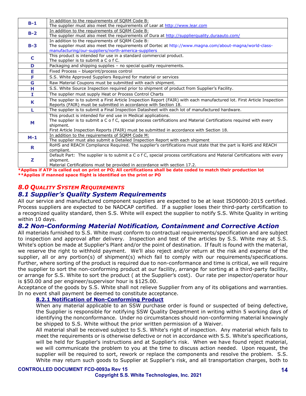| $B-1$ | In addition to the requirements of SQRM Code B:                                                                          |
|-------|--------------------------------------------------------------------------------------------------------------------------|
|       | The supplier must also meet the requirements of Lear at http://www.lear.com                                              |
| $B-2$ | In addition to the requirements of SQRM Code B:                                                                          |
|       | The supplier must also meet the requirements of Dura at http://supplierquality.duraauto.com/                             |
|       | In addition to the requirements of SQRM Code B:                                                                          |
| $B-3$ | The supplier must also meet the requirements of Dortec at http://www.magna.com/about-magna/world-class-                  |
|       | manufacturing/our-suppliers/north-america-suppliers                                                                      |
| C     | This product is intended for use in a standard commercial product.                                                       |
|       | The supplier is to submit a C o f C.                                                                                     |
| D     | Packaging and shipping supplies - no special quality requirements.                                                       |
| E     | Fixed Process - blueprint/process control                                                                                |
| F     | S.S. White Approved Suppliers Required for material or services                                                          |
| G     | Raw Material Coupons must be submitted with each shipment.                                                               |
| н     | S.S. White Source Inspection required prior to shipment of product from Supplier's Facility.                             |
| т     | The supplier must supply Heat or Process Control Charts                                                                  |
| K     | The supplier is to submit a First Article Inspection Report (FAIR) with each manufactured lot. First Article Inspection  |
|       | Reports (FAIR) must be submitted in accordance with Section 18.                                                          |
|       | The supplier is to submit a Final Inspection Datasheet with each lot of manufactured hardware.                           |
|       | This product is intended for end use in Medical applications.                                                            |
| м     | The supplier is to submit a C o f C, special process certifications and Material Certifications required with every      |
|       | shipment.                                                                                                                |
|       | First Article Inspection Reports (FAIR) must be submitted in accordance with Section 18.                                 |
| $M-1$ | In addition to the requirements of SORM Code M:                                                                          |
|       | The supplier must also submit a Detailed Inspection Report with each shipment                                            |
| R     | RoHS and REACH Compliance Required. The supplier's certifications must state that the part is RoHS and REACH             |
|       | compliant.                                                                                                               |
|       | Default Part: The supplier is to submit a C o f C, special process certifications and Material Certifications with every |
| z     | shipment.                                                                                                                |
|       | control / Constitution for a constitution of the constitution of control of a control イラ つ                               |

<u>| Material Certifications must be provided in accordance with section 17.2.</u> **\*Applies if ATP is called out on print or PO; All certifications shall be date coded to match their production lot**

**\*\*Applies if manned space flight is identified on the print or PO** 

#### <span id="page-13-1"></span><span id="page-13-0"></span>*8.0 QUALITY SYSTEM REQUIREMENTS 8.1 Supplier's Quality System Requirements*

All our service and manufactured component suppliers are expected to be at least ISO9000:2015 certified. Process suppliers are expected to be NADCAP certified. If a supplier loses their third-party certification to a recognized quality standard, then S.S. White will expect the supplier to notify S.S. White Quality in writing within 10 days.

# <span id="page-13-2"></span>*8.2 Non-Conforming Material Notification, Containment and Corrective Action*

All materials furnished to S.S. White must conform to contractual requirements/specification and are subject to inspection and approval after delivery. Inspection and test of the articles by S.S. White may at S.S. White's option be made at Supplier's Plant and/or the point of destination. If fault is found with the material, we reserve the right to withhold payment. We'll also reject and/or return at the risk and expense of the supplier, all or any portion(s) of shipment(s) which fail to comply with our requirements/specifications. Further, where sorting of the product is required due to non-conformance and time is critical, we will require the supplier to sort the non-conforming product at our facility, arrange for sorting at a third-party facility, or arrange for S.S. White to sort the product ( at the Supplier's cost). Our rate per inspector/operator hour is \$50.00 and per engineer/supervisor hour is \$125.00.

Acceptance of the goods by S.S. White shall not relieve Supplier from any of its obligations and warranties. In no event shall payment be deemed to constitute acceptance.

#### **8.2.1 Notification of Non-Conforming Product**

When any material applicable to an SSW purchase order is found or suspected of being defective, the Supplier is responsible for notifying SSW Quality Department in writing within 5 working days of identifying the nonconformance. Under no circumstances should non-conforming material knowingly be shipped to S.S. White without the prior written permission of a Waiver.

All material shall be received subject to S.S. White's right of inspection. Any material which fails to meet the requirements or is otherwise defective or not in accordance with S.S. White's specifications, will be held for Supplier's instructions and at Supplier's risk. When we have found reject material, we will communicate the problem to you at the time to discuss action needed. Upon request, the supplier will be required to sort, rework or replace the components and resolve the problem. S.S. White may return such goods to Supplier at Supplier's risk, and all transportation charges, both to

#### **CONTROLLED DOCUMENT FCD-0093a Rev 15**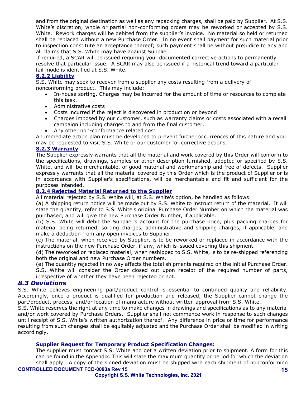and from the original destination as well as any repacking charges, shall be paid by Supplier. At S.S. White's discretion, whole or partial non-conforming orders may be reworked or accepted by S.S. White. Rework charges will be debited from the supplier's invoice. No material so held or returned shall be replaced without a new Purchase Order. In no event shall payment for such material prior to inspection constitute an acceptance thereof; such payment shall be without prejudice to any and all claims that S.S. White may have against Supplier.

If required, a SCAR will be issued requiring your documented corrective actions to permanently resolve that particular issue. A SCAR may also be issued if a historical trend toward a particular fail mode is identified at S.S. White.

#### **8.2.2 Liability**

S.S. White may seek to recover from a supplier any costs resulting from a delivery of nonconforming product. This may include:

- In-house sorting. Charges may be incurred for the amount of time or resources to complete this task.
- Administrative costs
- Costs incurred if the reject is discovered in production or beyond
- Charges imposed by our customer, such as warranty claims or costs associated with a recall campaign including charges to and from the final customer.
- Any other non-conformance related cost

An immediate action plan must be developed to prevent further occurrences of this nature and you may be requested to visit S.S. White or our customer for corrective actions.

#### **8.2.3 Warranty**

The Supplier expressly warrants that all the material and work covered by this Order will conform to the specifications, drawings, samples or other description furnished, adopted or specified by S.S. White, and will be merchantable, of good material and workmanship and free of defects. Supplier expressly warrants that all the material covered by this Order which is the product of Supplier or is in accordance with Supplier's specifications, will be merchantable and fit and sufficient for the purposes intended.

#### **8.2.4 Rejected Material Returned to the Supplier**

All material rejected by S.S. White will, at S.S. White's option, be handled as follows:

(a) A shipping return notice will be made out by S.S. White to instruct return of the material. It will state the quantity, refer to S.S. White's original Purchase Order Number on which the material was purchased, and will give the new Purchase Order Number, if applicable.

(b) S.S. White will debit the Supplier's account for the purchase price, plus packing charges for material being returned, sorting charges, administrative and shipping charges, if applicable, and make a deduction from any open invoices to Supplier.

(c) The material, when received by Supplier, is to be reworked or replaced in accordance with the instructions on the new Purchase Order, if any, which is issued covering this shipment.

(d) The reworked or replaced material, when reshipped to S.S. White, is to be re-shipped referencing both the original and new Purchase Order numbers.

(e) The quantity rejected in no way affects the total shipments required on the initial Purchase Order.

S.S. White will consider the Order closed out upon receipt of the required number of parts, irrespective of whether they have been rejected or not.

#### <span id="page-14-0"></span>*8.3 Deviations*

S.S. White believes engineering part/product control is essential to continued quality and reliability. Accordingly, once a product is qualified for production and released, the Supplier cannot change the part/product, process, and/or location of manufacture without written approval from S.S. White.

S.S. White reserves the right at any time to make changes in drawings and specifications as to any material and/or work covered by Purchase Orders. Supplier shall not commence work in response to such changes until receipt of S.S. White's written authorization thereof. Any difference in price or time for performance resulting from such changes shall be equitably adjusted and the Purchase Order shall be modified in writing accordingly.

#### **Supplier Request for Temporary Product Specification Changes:**

The supplier must contact S.S. White and get a written deviation prior to shipment. A form for this can be found in the Appendix. This will state the maximum quantity or period for which the deviation shall apply. A copy of the signed deviation must be shipped with each shipment of nonconforming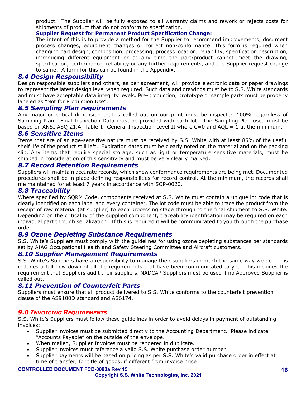product. The Supplier will be fully exposed to all warranty claims and rework or rejects costs for shipments of product that do not conform to specification.

**Supplier Request for Permanent Product Specification Change:**

The intent of this is to provide a method for the Supplier to recommend improvements, document process changes, equipment changes or correct non-conformance. This form is required when changing part design, composition, processing, process location, reliability, specification description, introducing different equipment or at any time the part/product cannot meet the drawing, specification, performance, reliability or any further requirements, and the Supplier request change to same. A form for this can be found in the Appendix.

#### <span id="page-15-0"></span>*8.4 Design Responsibility*

Design responsible suppliers and others, as per agreement, will provide electronic data or paper drawings to represent the latest design level when required. Such data and drawings must be to S.S. White standards and must have acceptable data integrity levels. Pre-production, prototype or sample parts must be properly labeled as "Not for Production Use".

#### <span id="page-15-1"></span>*8.5 Sampling Plan requirements*

Any major or critical dimension that is called out on our print must be inspected 100% regardless of Sampling Plan. Final Inspection Data must be provided with each lot. The Sampling Plan used must be based on ANSI ASO Z1.4, Table 1- General Inspection Level II where C=0 and AOL = 1 at the minimum.

# <span id="page-15-2"></span>*8.6 Sensitive Items*

Items that are of an age-sensitive nature must be received by S.S. White with at least 85% of the useful shelf life of the product still left. Expiration dates must be clearly noted on the material and on the packing slip. Any items that require special storage, such as light or temperature sensitive materials, must be shipped in consideration of this sensitivity and must be very clearly marked.

#### <span id="page-15-3"></span>*8.7 Record Retention Requirements*

Suppliers will maintain accurate records, which show conformance requirements are being met. Documented procedures shall be in place defining responsibilities for record control. At the minimum, the records shall me maintained for at least 7 years in accordance with SOP-0020.

#### <span id="page-15-4"></span>*8.8 Traceability*

Where specified by SQRM Code, components received at S.S. White must contain a unique lot code that is clearly identified on each label and every container. The lot code must be able to trace the product from the receipt of raw material (at supplier) to each processing stage through to the final shipment to S.S. White. Depending on the criticality of the supplied component, traceability identification may be required on each individual part through serialization. If this is required it will be communicated to you through the purchase order.

#### <span id="page-15-5"></span>*8.9 Ozone Depleting Substance Requirements*

S.S. White's Suppliers must comply with the guidelines for using ozone depleting substances per standards set by AIAG Occupational Health and Safety Steering Committee and Aircraft customers.

#### <span id="page-15-6"></span>*8.10 Supplier Management Requirements*

S.S. White's Suppliers have a responsibility to manage their suppliers in much the same way we do. This includes a full flow-down of all the requirements that have been communicated to you. This includes the requirement that Suppliers audit their suppliers. NADCAP Suppliers must be used if no Approved Supplier is called out.

#### <span id="page-15-7"></span>*8.11 Prevention of Counterfeit Parts*

Suppliers must ensure that all product delivered to S.S. White conforms to the counterfeit prevention clause of the AS9100D standard and AS6174.

#### <span id="page-15-8"></span>*9.0 INVOICING REQUIREMENTS*

S.S. White's Suppliers must follow these guidelines in order to avoid delays in payment of outstanding invoices:

- Supplier invoices must be submitted directly to the Accounting Department. Please indicate "Accounts Payable" on the outside of the envelope.
- When mailed, Supplier Invoices must be rendered in duplicate.
- Supplier invoices must reference a valid S.S. White purchase order number
- Supplier payments will be based on pricing as per S.S. White's valid purchase order in effect at time of transfer, for title of goods, if different from invoice price

#### **CONTROLLED DOCUMENT FCD-0093a Rev 15**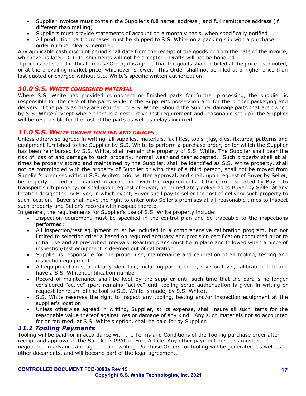- Supplier invoices must contain the Supplier's full name, address , and full remittance address (if different than mailing)
- Suppliers must provide statements of account on a monthly basis, when specifically notified
- All production part purchases must be shipped to S.S. White on a packing slip with a purchase order number clearly identified

Any applicable cash discount period shall date from the receipt of the goods or from the date of the invoice, whichever is later. C.O.D. shipments will not be accepted. Drafts will not be honored.

If price is not stated in this Purchase Order, it is agreed that the goods shall be billed at the price last quoted, or at the prevailing market price, whichever is lower. This Order shall not be filled at a higher price than last quoted or charged without S.S. White's specific written authorization.

# <span id="page-16-0"></span>*10.0 S.S. WHITE CONSIGNED MATERIAL*

Where S.S. White has provided component or finished parts for further processing, the supplier is responsible for the care of the parts while in the Supplier's possession and for the proper packaging and delivery of the parts as they are returned to S.S. White. Should the Supplier damage parts that are owned by S.S. White (except where there is a destructive test requirement and reasonable set-up), the Supplier will be responsible for the cost of the parts as well as delays incurred.

#### <span id="page-16-1"></span>*11.0 S.S. WHITE OWNED TOOLING AND GAUGES*

Unless otherwise agreed in writing, all supplies, materials, facilities, tools, jigs, dies, fixtures, patterns and equipment furnished to the Supplier by S.S. White to perform a purchase order, or for which the Supplier has been reimbursed by S.S. White, shall remain the property of S.S. White. The Supplier shall bear the risk of loss of and damage to such property, normal wear and tear excepted. Such property shall at all times be properly stored and maintained by the Supplier, shall be identified as S.S. White property, shall not be commingled with the property of Supplier or with that of a third person, shall not be moved from Supplier's premises without S.S. White's prior written approval, and shall, upon request of Buyer by Seller, be properly packed and marked in accordance with the requirements of the carrier selected by Buyer to transport such property, or shall upon request of Buyer, be immediately delivered to Buyer by Seller at any location designated by Buyer, in which event, Buyer shall pay to seller the cost of delivery such property to such location. Buyer shall have the right to enter onto Seller's premises at all reasonable times to inspect such property and Seller's records with respect thereto.

In general, the requirements for Supplier's use of S.S. White property include:

- Inspection equipment must be specified in the control plan and be traceable to the inspections performed;
- All inspection/test equipment must be included in a comprehensive calibration program, but not limited to selection criteria based on required accuracy and precision certification conducted prior to initial use and at prescribed intervals. Reaction plans must be in place and followed when a piece of inspection/test equipment is deemed out of calibration
- Supplier is responsible for the proper use, maintenance and calibration of all tooling, testing and inspection equipment
- All equipment must be clearly identified, including part number, revision level, calibration date and have a S.S. White identification number
- Record of maintenance shall be kept by the supplier until such time that the part is no longer considered "active" (part remains "active" until tooling scrap authorization is given in writing or request for return of the tool to S.S. White is made, by S.S. White).
- S.S. White reserves the right to inspect any tooling, testing and/or inspection equipment at the supplier's location.
- Unless otherwise agreed in writing, Supplier, at its expense, shall insure all such items for the reasonable value thereof against loss or damage of any kind. Any such materials not so accounted for or returned, at S.S. White's option, shall be paid for by Supplier.

#### <span id="page-16-2"></span>*11.1 Tooling Payments*

Tooling will be paid for in accordance with the Terms and Conditions of the Tooling purchase order after receipt and approval of the Supplier's PPAP or First Article. Any other payment methods must be negotiated in advance and agreed to in writing. Purchase Orders for tooling will be generated, as well as other documents, and will become part of the legal agreement.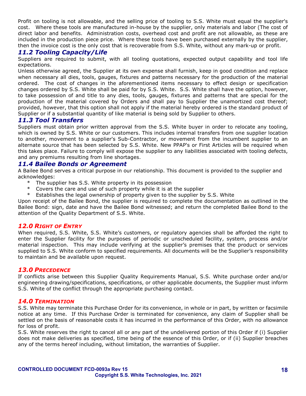Profit on tooling is not allowable, and the selling price of tooling to S.S. White must equal the supplier's cost. Where these tools are manufactured in-house by the supplier, only materials and labor (The cost of direct labor and benefits. Administration costs, overhead cost and profit are not allowable, as these are included in the production piece price. Where these tools have been purchased externally by the supplier, then the invoice cost is the only cost that is recoverable from S.S. White, without any mark-up or profit.

#### <span id="page-17-0"></span>*11.2 Tooling Capacity/Life*

Suppliers are required to submit, with all tooling quotations, expected output capability and tool life expectations.

Unless otherwise agreed, the Supplier at its own expense shall furnish, keep in good condition and replace when necessary all dies, tools, gauges, fixtures and patterns necessary for the production of the material ordered. The cost of changes in the aforementioned items necessary to effect design or specification changes ordered by S.S. White shall be paid for by S.S. White. S.S. White shall have the option, however, to take possession of and title to any dies, tools, gauges, fixtures and patterns that are special for the production of the material covered by Orders and shall pay to Supplier the unamortized cost thereof; provided, however, that this option shall not apply if the material hereby ordered is the standard product of Supplier or if a substantial quantity of like material is being sold by Supplier to others.

#### <span id="page-17-1"></span>*11.3 Tool Transfers*

Suppliers must obtain prior written approval from the S.S. White buyer in order to relocate any tooling, which is owned by S.S. White or our customers. This includes internal transfers from one supplier location to another, movement to a supplier's Sub-Contractor, or movement from the incumbent supplier to an alternate source that has been selected by S.S. White. New PPAP's or First Articles will be required when this takes place. Failure to comply will expose the supplier to any liabilities associated with tooling defects, and any premiums resulting from line shortages.

#### <span id="page-17-2"></span>*11.4 Bailee Bonds or Agreement*

A Bailee Bond serves a critical purpose in our relationship. This document is provided to the supplier and acknowledges:

- \* The supplier has S.S. White property in its possession
- \* Covers the care and use of such property while it is at the supplier
- Establishes the legal ownership of property given to the supplier by S.S. White

Upon receipt of the Bailee Bond, the supplier is required to complete the documentation as outlined in the Bailee Bond: sign, date and have the Bailee Bond witnessed; and return the completed Bailee Bond to the attention of the Quality Department of S.S. White.

#### <span id="page-17-3"></span>*12.0 RIGHT OF ENTRY*

When required, S.S. White, S.S. White's customers, or regulatory agencies shall be afforded the right to enter the Supplier facility for the purposes of periodic or unscheduled facility, system, process and/or material inspection. This may include verifying at the supplier's premises that the product or services supplied to S.S. White conform to specified requirements. All documents will be the Supplier's responsibility to maintain and be available upon request.

#### <span id="page-17-4"></span>*13.0 PRECEDENCE*

If conflicts arise between this Supplier Quality Requirements Manual, S.S. White purchase order and/or engineering drawing/specifications, specifications, or other applicable documents, the Supplier must inform S.S. White of the conflict through the appropriate purchasing contact.

#### <span id="page-17-5"></span>*14.0 TERMINATION*

S.S. White may terminate this Purchase Order for its convenience, in whole or in part, by written or facsimile notice at any time. If this Purchase Order is terminated for convenience, any claim of Supplier shall be settled on the basis of reasonable costs it has incurred in the performance of this Order, with no allowance for loss of profit.

S.S. White reserves the right to cancel all or any part of the undelivered portion of this Order if (i) Supplier does not make deliveries as specified, time being of the essence of this Order, or if (ii) Supplier breaches any of the terms hereof including, without limitation, the warranties of Supplier.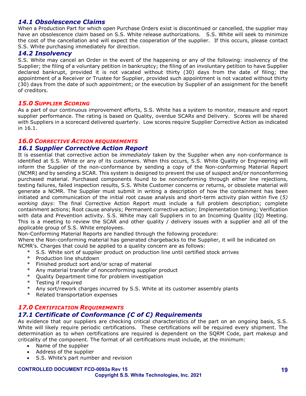# <span id="page-18-0"></span>*14.1 Obsolescence Claims*

When a Production Part for which open Purchase Orders exist is discontinued or cancelled, the supplier may have an obsolescence claim based on S.S. White release authorizations. S.S. White will seek to minimize the cost of the cancellation and will expect the cooperation of the supplier. If this occurs, please contact S.S. White purchasing immediately for direction.

#### <span id="page-18-1"></span>*14.2 Insolvency*

S.S. White may cancel an Order in the event of the happening or any of the following: insolvency of the Supplier; the filing of a voluntary petition in bankruptcy; the filing of an involuntary petition to have Supplier declared bankrupt, provided it is not vacated without thirty (30) days from the date of filing; the appointment of a Receiver or Trustee for Supplier, provided such appointment is not vacated without thirty (30) days from the date of such appointment; or the execution by Supplier of an assignment for the benefit of creditors.

#### <span id="page-18-2"></span>*15.0 SUPPLIER SCORING*

As a part of our continuous improvement efforts, S.S. White has a system to monitor, measure and report supplier performance. The rating is based on Quality, overdue SCARs and Delivery. Scores will be shared with Suppliers in a scorecard delivered quarterly. Low scores require Supplier Corrective Action as indicated in 16.1.

#### <span id="page-18-3"></span>*16.0 CORRECTIVE ACTION REQUIREMENTS*

#### <span id="page-18-4"></span>*16.1 Supplier Corrective Action Report*

It is essential that corrective action be *immediately* taken by the Supplier when any non-conformance is identified at S.S. White or any of its customers. When this occurs, S.S. White Quality or Engineering will inform the Supplier of the non-conformance by sending a copy of the Non-conforming Material Report (NCMR) and by sending a SCAR. This system is designed to prevent the use of suspect and/or nonconforming purchased material. Purchased components found to be nonconforming through either line rejections, testing failures, failed inspection results, S.S. White Customer concerns or returns, or obsolete material will generate a NCMR. The Supplier must submit in writing a description of how the containment has been initiated and communication of the initial root cause analysis and short-term activity plan within five (*5) working days*: The final Corrective Action Report must include a full problem description; complete containment actions; Root cause analysis; Permanent corrective action; Implementation timing; Verification with data and Prevention activity. S.S. White may call Suppliers in to an Incoming Quality (IQ) Meeting. This is a meeting to review the SCAR and other quality / delivery issues with a supplier and all of the applicable group of S.S. White employees.

Non-Conforming Material Reports are handled through the following procedure:

Where the Non-conforming material has generated chargebacks to the Supplier, it will be indicated on NCMR's. Charges that could be applied to a quality concern are as follows:

- \* S.S. White sort of supplier product on production line until certified stock arrives<br>\* Production line shutdown
- Production line shutdown
- \* Finished product sort and/or scrap of material
- \* Any material transfer of nonconforming supplier product
- \* Quality Department time for problem investigation
- \* Testing if required<br>\* Any sort/rowerk ch
- Any sort/rework charges incurred by S.S. White at its customer assembly plants
- \* Related transportation expenses

#### <span id="page-18-6"></span><span id="page-18-5"></span>*17.0 CERTIFICATION REQUIREMENTS 17.1 Certificate of Conformance (C of C) Requirements*

As evidence that our suppliers are checking critical characteristics of the part on an ongoing basis, S.S. White will likely require periodic certifications. These certifications will be required every shipment. The determination as to when certifications are required is dependent on the SQRM Code, part makeup and criticality of the component. The format of all certifications must include, at the minimum:

- Name of the supplier
- Address of the supplier
- S.S. White's part number and revision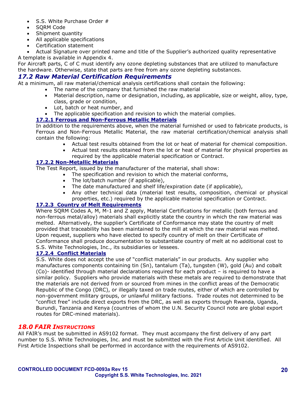- S.S. White Purchase Order #
- SORM Code
- Shipment quantity
- All applicable specifications
- Certification statement
- Actual Signature over printed name and title of the Supplier's authorized quality representative A template is available in Appendix 4.

For Aircraft parts, C of C must identify any ozone depleting substances that are utilized to manufacture the hardware. Otherwise, state that parts are free from any ozone depleting substances.

# <span id="page-19-0"></span>*17.2 Raw Material Certification Requirements*

At a minimum, all raw material/chemical analysis certifications shall contain the following:

- The name of the company that furnished the raw material
- Material description, name or designation, including, as applicable, size or weight, alloy, type, class, grade or condition,
- Lot, batch or heat number, and
- The applicable specification and revision to which the material complies.

#### **17.2.1 Ferrous and Non-Ferrous Metallic Materials**

In addition to the requirements above, when the material furnished or used to fabricate products, is Ferrous and Non-Ferrous Metallic Material, the raw material certification/chemical analysis shall contain the following:

- Actual test results obtained from the lot or heat of material for chemical composition.
- Actual test results obtained from the lot or heat of material for physical properties as required by the applicable material specification or Contract.

#### **17.2.2 Non-Metallic Materials**

The Test Report, issued by the manufacturer of the material, shall show:

- The specification and revision to which the material conforms,
- The lot/batch number (if applicable),
- The date manufactured and shelf life/expiration date (if applicable),
- Any other technical data (material test results, composition, chemical or physical properties, etc.) required by the applicable material specification or Contract.

#### **17.2.3 Country of Melt Requirements**

Where SQRM Codes A, M, M-1 and Z apply, Material Certifications for metallic (both ferrous and non-ferrous metal/alloy) materials shall explicitly state the country in which the raw material was melted. Alternatively, the supplier's Certificate of Conformance may state the country of melt provided that traceability has been maintained to the mill at which the raw material was melted. Upon request, suppliers who have elected to specify country of melt on their Certificate of Conformance shall produce documentation to substantiate country of melt at no additional cost to S.S. White Technologies, Inc., its subsidiaries or lessees.

#### **17.2.4 Conflict Materials**

S.S. White does not accept the use of "conflict materials" in our products. Any supplier who manufactures components containing tin (Sn), tantalum (Ta), tungsten (W), gold (Au) and cobalt (Co)- identified through material declarations required for each product – is required to have a similar policy. Suppliers who provide materials with these metals are required to demonstrate that the materials are not derived from or sourced from mines in the conflict areas of the Democratic Republic of the Congo (DRC), or illegally taxed on trade routes, either of which are controlled by non-government military groups, or unlawful military factions. Trade routes not determined to be "conflict free" include direct exports from the DRC, as well as exports through Rwanda, Uganda, Burundi, Tanzania and Kenya (countries of whom the U.N. Security Council note are global export routes for DRC-mined materials).

#### <span id="page-19-1"></span>*18.0 FAIR INSTRUCTIONS*

All FAIR's must be submitted in AS9102 format. They must accompany the first delivery of any part number to S.S. White Technologies, Inc. and must be submitted with the First Article Unit identified. All First Article Inspections shall be performed in accordance with the requirements of AS9102.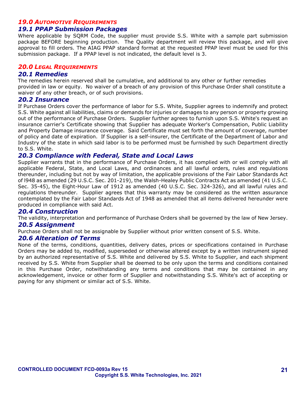#### <span id="page-20-0"></span>*19.0 AUTOMOTIVE REQUIREMENTS*

#### <span id="page-20-1"></span>*19.1 PPAP Submission Packages*

Where applicable by SQRM Code, the supplier must provide S.S. White with a sample part submission package BEFORE beginning production. The Quality department will review this package, and will give approval to fill orders. The AIAG PPAP standard format at the requested PPAP level must be used for this submission package. If a PPAP level is not indicated, the default level is 3.

#### <span id="page-20-2"></span>*20.0 LEGAL REQUIREMENTS*

#### <span id="page-20-3"></span>*20.1 Remedies*

The remedies herein reserved shall be cumulative, and additional to any other or further remedies provided in law or equity. No waiver of a breach of any provision of this Purchase Order shall constitute a waiver of any other breach, or of such provisions.

#### <span id="page-20-4"></span>*20.2 Insurance*

If Purchase Orders cover the performance of labor for S.S. White, Supplier agrees to indemnify and protect S.S. White against all liabilities, claims or demands for injuries or damages to any person or property growing out of the performance of Purchase Orders. Supplier further agrees to furnish upon S.S. White's request an insurance carrier's Certificate showing that Supplier has adequate Worker's Compensation, Public Liability and Property Damage insurance coverage. Said Certificate must set forth the amount of coverage, number of policy and date of expiration. If Supplier is a self-insurer, the Certificate of the Department of Labor and Industry of the state in which said labor is to be performed must be furnished by such Department directly to S.S. White.

#### <span id="page-20-5"></span>*20.3 Compliance with Federal, State and Local Laws*

Supplier warrants that in the performance of Purchase Orders, it has complied with or will comply with all applicable Federal, State, and Local Laws, and ordinances and all lawful orders, rules and regulations thereunder, including but not by way of limitation, the applicable provisions of the Fair Labor Standards Act of l948 as amended (29 U.S.C. Sec. 201-219), the Walsh-Healey Public Contracts Act as amended (41 U.S.C. Sec. 35-45), the Eight-Hour Law of 1912 as amended (40 U.S.C. Sec. 324-326), and all lawful rules and regulations thereunder. Supplier agrees that this warranty may be considered as the written assurance contemplated by the Fair Labor Standards Act of 1948 as amended that all items delivered hereunder were produced in compliance with said Act.

#### <span id="page-20-6"></span>*20.4 Construction*

The validity, interpretation and performance of Purchase Orders shall be governed by the law of New Jersey.

#### <span id="page-20-7"></span>*20.5 Assignment*

Purchase Orders shall not be assignable by Supplier without prior written consent of S.S. White.

#### <span id="page-20-8"></span>*20.6 Alteration of Terms*

None of the terms, conditions, quantities, delivery dates, prices or specifications contained in Purchase Orders may be added to, modified, superseded or otherwise altered except by a written instrument signed by an authorized representative of S.S. White and delivered by S.S. White to Supplier, and each shipment received by S.S. White from Supplier shall be deemed to be only upon the terms and conditions contained in this Purchase Order, notwithstanding any terms and conditions that may be contained in any acknowledgement, invoice or other form of Supplier and notwithstanding S.S. White's act of accepting or paying for any shipment or similar act of S.S. White.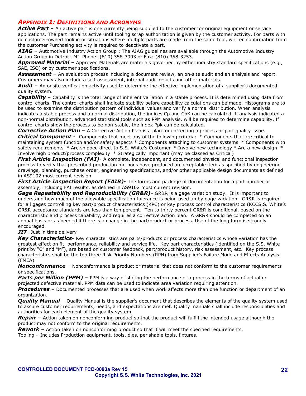### <span id="page-21-0"></span>*APPENDIX 1: DEFINITIONS AND ACRONYMS*

Active Part - An active part is one currently being supplied to the customer for original equipment or service applications. The part remains active until tooling scrap authorization is given by the customer activity. For parts with no customer-owned tooling or situations where multiple parts are made from the same tool, written confirmation from the customer Purchasing activity is required to deactivate a part.

*AIAG* – Automotive Industry Action Group ; The AIAG guidelines are available through the Automotive Industry Action Group in Detroit, MI. Phone: (810) 358-3003 or Fax: (810) 358-3253.

*Approved Material* – Approved Materials are materials governed by either industry standard specifications (e.g., SAE, ISO) or by customer specifications.

Assessment – An evaluation process including a document review, an on-site audit and an analysis and report. Customers may also include a self-assessment, internal audit results and other materials.

*Audit* – An onsite verification activity used to determine the effective implementation of a supplier's documented quality system.

*Capability* – Capability is the total range of inherent variation in a stable process. It is determined using data from control charts. The control charts shall indicate stability before capability calculations can be made. Histograms are to be used to examine the distribution pattern of individual values and verify a normal distribution. When analysis indicates a stable process and a normal distribution, the indices Cp and CpK can be calculated. If analysis indicated a non-normal distribution, advanced statistical tools such as PPM analysis, will be required to determine capability. If control charts show the process to be non-stable, the index Ppk can be calculated.

*Corrective Action Plan* – A Corrective Action Plan is a plan for correcting a process or part quality issue. *Critical Component* - Components that meet any of the following criteria: \* Components that are critical to maintaining system function and/or safety aspects \* Components attaching to customer systems \* Components with safety requirements  $*$  Are shipped direct to S.S. White's Customer  $*$  Involve new technology  $*$  Are a new design  $*$ Involve high product/process complexity \* Strategically important (may be classed as Critical)

**First Article Inspection (FAI)**- A complete, independent, and documented physical and functional inspection process to verify that prescribed production methods have produced an acceptable item as specified by engineering drawings, planning, purchase order, engineering specifications, and/or other applicable design documents as defined in AS9102 most current revision.

**First Article Inspection Report (FAIR)**- The forms and package of documentation for a part number or assembly, including FAI results, as defined in AS9102 most current revision.

*Gage Repeatability and Reproducibility (GR&R)-* GR&R is a gage variation study. It is important to understand how much of the allowable specification tolerance is being used up by gage variation. GR&R is required for all gages controlling key part/product characteristics (KPC) or key process control characteristics (KCCS.S. White's GR&R acceptance standards are less than ten percent. Ten to thirty percent GR&R is conditional, based on the characteristic and process capability, and requires a corrective action plan. A GR&R should be completed on an annual basis or as needed if there is a change in the part/product or process. Use of the long form is strongly encouraged.

*JIT*: Just in time delivery

*Key Characteristics-* Key characteristics are parts/products or process characteristics whose variation has the greatest effect on fit, performance, reliability and service life. Key part characteristics (identified on the S.S. White print by "C" and "M"), are based on customer feedback, part/product history, risk assessment, etc. Key process characteristics shall be the top three Risk Priority Numbers (RPN) from Supplier's Failure Mode and Effects Analysis (FMEA).

*Nonconformance* – Nonconformance is product or material that does not conform to the customer requirements or specifications.

**Parts per Million (PPM)** – PPM is a way of stating the performance of a process in the terms of actual or projected defective material. PPM data can be used to indicate area variation requiring attention.

*Procedures* – Documented processes that are used when work affects more than one function or department of an organization.

*Quality Manual* – Quality Manual is the supplier's document that describes the elements of the quality system used to assure customer requirements, needs, and expectations are met. Quality manuals shall include responsibilities and authorities for each element of the quality system.

*Repair* – Action taken on nonconforming product so that the product will fulfill the intended usage although the product may not conform to the original requirements.

*Rework* – Action taken on nonconforming product so that it will meet the specified requirements.

Tooling – Includes Production equipment, tools, dies, perishable tools, fixtures.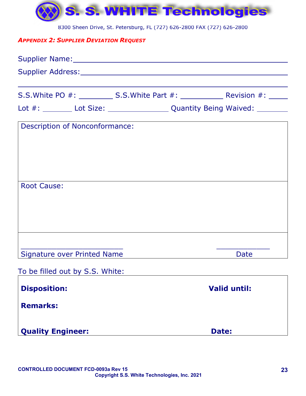

8300 Sheen Drive, St. Petersburg, FL (727) 626-2800 FAX (727) 626-2800

# <span id="page-22-0"></span>*APPENDIX 2: SUPPLIER DEVIATION REQUEST*

| Lot #: _________ Lot Size: _______________________Quantity Being Waived: _________ |       |                     |
|------------------------------------------------------------------------------------|-------|---------------------|
| <b>Description of Nonconformance:</b>                                              |       |                     |
|                                                                                    |       |                     |
|                                                                                    |       |                     |
|                                                                                    |       |                     |
| <b>Root Cause:</b>                                                                 |       |                     |
|                                                                                    |       |                     |
|                                                                                    |       |                     |
|                                                                                    |       |                     |
| <b>Signature over Printed Name</b>                                                 |       | Date                |
| To be filled out by S.S. White:                                                    |       |                     |
| <b>Disposition:</b>                                                                |       | <b>Valid until:</b> |
| <b>Remarks:</b>                                                                    |       |                     |
|                                                                                    |       |                     |
| <b>Quality Engineer:</b>                                                           | Date: |                     |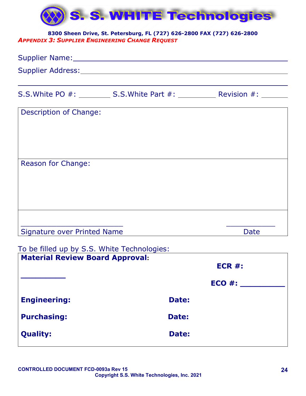

# <span id="page-23-0"></span>**8300 Sheen Drive, St. Petersburg, FL (727) 626-2800 FAX (727) 626-2800** *APPENDIX 3: SUPPLIER ENGINEERING CHANGE REQUEST*

| Supplier Name: Mannell Management of the Management of the Management of the United States |                                                                |  |  |  |  |
|--------------------------------------------------------------------------------------------|----------------------------------------------------------------|--|--|--|--|
| Supplier Address: Value of the Supplier Address:                                           |                                                                |  |  |  |  |
|                                                                                            | S.S. White PO #: S.S. White Part #: Revision #: ______________ |  |  |  |  |
| Description of Change:                                                                     |                                                                |  |  |  |  |
|                                                                                            |                                                                |  |  |  |  |
|                                                                                            |                                                                |  |  |  |  |
| <b>Reason for Change:</b>                                                                  |                                                                |  |  |  |  |
|                                                                                            |                                                                |  |  |  |  |

\_\_\_\_\_\_\_\_\_\_\_\_\_\_\_\_\_\_\_\_\_\_\_ \_\_\_\_\_\_\_\_\_\_\_ Signature over Printed Name Date Date

# To be filled up by S.S. White Technologies:

|       | ECR #:     |
|-------|------------|
|       | $ECO \#$ : |
| Date: |            |
| Date: |            |
| Date: |            |
|       |            |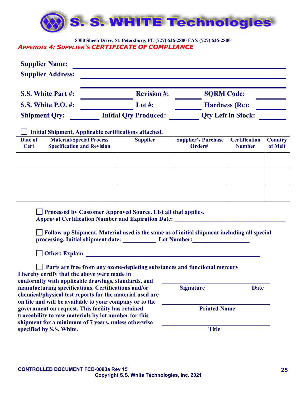

#### <span id="page-24-0"></span>**8300 Sheen Drive, St. Petersburg, FL (727) 626-2800 FAX (727) 626-2800** *APPENDIX 4: SUPPLIER'S CERTIFICATE OF COMPLIANCE*

|                           | <b>Supplier Name:</b><br><b>Supplier Address:</b>                    |                                                                                                                                                                            |                              |                                                                                                                                                                                                                                                                                                                                                                                                                                                                           |                                       |                           |
|---------------------------|----------------------------------------------------------------------|----------------------------------------------------------------------------------------------------------------------------------------------------------------------------|------------------------------|---------------------------------------------------------------------------------------------------------------------------------------------------------------------------------------------------------------------------------------------------------------------------------------------------------------------------------------------------------------------------------------------------------------------------------------------------------------------------|---------------------------------------|---------------------------|
|                           | S.S. White Part #:                                                   |                                                                                                                                                                            | <b>Revision #:</b>           | <b>SQRM Code:</b>                                                                                                                                                                                                                                                                                                                                                                                                                                                         |                                       |                           |
| <b>S.S. White P.O. #:</b> |                                                                      |                                                                                                                                                                            | Lot #:                       | <b>Hardness (Rc):</b><br><b>Qty Left in Stock:</b>                                                                                                                                                                                                                                                                                                                                                                                                                        |                                       |                           |
|                           | <b>Shipment Qty:</b>                                                 |                                                                                                                                                                            | <b>Initial Qty Produced:</b> |                                                                                                                                                                                                                                                                                                                                                                                                                                                                           |                                       |                           |
|                           |                                                                      | Initial Shipment, Applicable certifications attached.                                                                                                                      |                              |                                                                                                                                                                                                                                                                                                                                                                                                                                                                           |                                       |                           |
| Date of<br><b>Cert</b>    | <b>Material/Special Process</b><br><b>Specification and Revision</b> |                                                                                                                                                                            | <b>Supplier</b>              | <b>Supplier's Purchase</b><br>Order#                                                                                                                                                                                                                                                                                                                                                                                                                                      | <b>Certification</b><br><b>Number</b> | <b>Country</b><br>of Melt |
|                           |                                                                      |                                                                                                                                                                            |                              |                                                                                                                                                                                                                                                                                                                                                                                                                                                                           |                                       |                           |
|                           |                                                                      |                                                                                                                                                                            |                              |                                                                                                                                                                                                                                                                                                                                                                                                                                                                           |                                       |                           |
|                           |                                                                      |                                                                                                                                                                            |                              |                                                                                                                                                                                                                                                                                                                                                                                                                                                                           |                                       |                           |
|                           |                                                                      |                                                                                                                                                                            |                              |                                                                                                                                                                                                                                                                                                                                                                                                                                                                           |                                       |                           |
|                           |                                                                      | Processed by Customer Approved Source. List all that applies.                                                                                                              |                              | Approval Certification Number and Expiration Date: ______________________________<br>Follow up Shipment. Material used is the same as of initial shipment including all special<br>processing. Initial shipment date: Lot Number:<br>Other: Explain <u>example and the contract of the contract of the contract of the contract of the contract of the contract of the contract of the contract of the contract of the contract of the contract of the contract of th</u> |                                       |                           |
|                           |                                                                      |                                                                                                                                                                            |                              |                                                                                                                                                                                                                                                                                                                                                                                                                                                                           |                                       |                           |
|                           |                                                                      | I hereby certify that the above were made in<br>conformity with applicable drawings, standards, and                                                                        |                              | Parts are free from any ozone-depleting substances and functional mercury                                                                                                                                                                                                                                                                                                                                                                                                 |                                       |                           |
|                           |                                                                      | manufacturing specifications. Certifications and/or<br>chemical/physical test reports for the material used are<br>on file and will be available to your company or to the |                              | <b>Signature</b>                                                                                                                                                                                                                                                                                                                                                                                                                                                          | <b>Date</b>                           |                           |
|                           |                                                                      | government on request. This facility has retained                                                                                                                          |                              | <b>Printed Name</b>                                                                                                                                                                                                                                                                                                                                                                                                                                                       |                                       |                           |

**specified by S.S. White.** Title

**traceability to raw materials by lot number for this shipment for a minimum of 7 years, unless otherwise**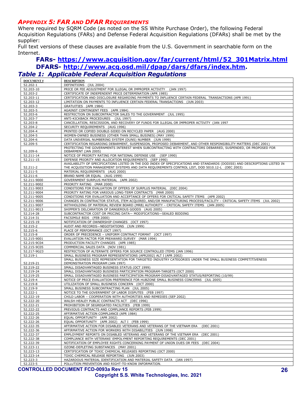#### <span id="page-25-0"></span>*APPENDIX 5: FAR AND DFAR REQUIREMENTS*

Where required by SQRM Code (as noted on the SS White Purchase Order), the following Federal Acquisition Regulations (FARs) and Defense Federal Acquisition Regulations (DFARs) shall be met by the supplier:

Full text versions of these clauses are available from the U.S. Government in searchable form on the Internet.

### **FARs- [https://www.acquisition.gov/far/current/html/52\\_301Matrix.html](https://www.acquisition.gov/far/current/html/52_301Matrix.html) DFARS- [http://www.acq.osd.mil/dpap/dars/dfars/index.htm.](http://www.acq.osd.mil/dpap/dars/dfars/index.htm)** *Table 1: Applicable Federal Acquisition Regulations*

| <b>DOCUMENT#</b> | <b>DESCRIPTION</b>                                                                                                         |  |  |
|------------------|----------------------------------------------------------------------------------------------------------------------------|--|--|
| 52.202-1         | DEFINITIONS (JUL 2004)                                                                                                     |  |  |
| 52.203-10        | PRICE OR FEE ADJUSTMENT FOR ILLEGAL OR IMPROPER ACTIVITY (JAN 1997)                                                        |  |  |
| 52.203-2         | CERTIFICATE OF INDEPENDENT PRICE DETERMINATION (APR 1985)                                                                  |  |  |
| 52.203-11        | CERTIFICATION AND DISCLOSURE REGARDING PAYMENTS TO INFLUENCE CERTAIN FEDERAL TRANSACTIONS (APR 1991)                       |  |  |
| 52.203-12        | LIMITATION ON PAYMENTS TO INFLUENCE CERTAIN FEDERAL TRANSACTIONS (JUN 2003)                                                |  |  |
| 52.203-3         | GRATUITIES (APR 1984)                                                                                                      |  |  |
| 52.203-5         | AGAINST CONTINGENT FEES (APR 1984)                                                                                         |  |  |
| 52.203-6         | RESTRICTION ON SUBCONTRACTOR SALES TO THE GOVERNMENT (JUL 1995)                                                            |  |  |
| 52.203-7         | ANTI-KICKBACK PROCEDURES (JUL 1997)                                                                                        |  |  |
| 52.203-8         | CANCELLATION, RESCISSION, AND RECOVERY OF FUNDS FOR ILLEGAL OR IMPROPER ACTIVITY (JAN 1997                                 |  |  |
| 52.204-2         | SECURITY REQUIREMENTS (AUG 1996)                                                                                           |  |  |
| 52.204-4         | PRINTED OR COPIED DOUBLE-SIDED ON RECYCLED PAPER (AUG 2000)                                                                |  |  |
| 52.204-5         | WOMEN-OWNED BUSINESS (OTHER THAN SMALL BUSINES) (MAY 1999)                                                                 |  |  |
| 52.204-6         | DATA UNIVERSAL NUMBERING SYSTEM (DUNS) NUMBER (JUN 1999)                                                                   |  |  |
| 52.209-5         | CERTIFICATION REGARDING DEBARMENT, SUSPENSION, PROPOSED DEBARMENT, AND OTHER RESPONSIBILITY MATTERS (DEC 2001)             |  |  |
|                  | PROTECTING THE GOVERNMENTS INTEREST WHEN SUBCONTRACTING WITH CONTRACTORS DEBARRED, SUSPENDED, OR PROPOSED FOR              |  |  |
| 52.209-6         | DEBARMENT (JAN 2005)                                                                                                       |  |  |
| 52.211-14        | NOTICE OF PRIORITY RATING FOR NATIONAL DEFENSE USE (SEP 1990)                                                              |  |  |
| 52.211-15        | DEFENSE PRIORITY AND ALLOCATION REQUIREMENTS (SEP 1990)                                                                    |  |  |
|                  | AVAILABILITY OF SPECIFICATIONS LISTED IN THE DOD INDEX OF SPECIFICATIONS AND STANDARDS (DODISS) AND DESCRIPTIONS LISTED IN |  |  |
| 52.211-2         | THE ACQUISITION MANAGEMENT SYSTEMS AND DATA REQUIREMENTS CONTROL LIST, DOD 5010.12-L (DEC 2003)                            |  |  |
| 52.211-5         | MATERIAL REQUIREMENTS (AUG 2000)                                                                                           |  |  |
| 52.211-6         | BRAND NAME OR EQUAL (AUG 1999)                                                                                             |  |  |
| 52.211-9000      | GOVERNMENT SURPLUS MATERIAL (APR 2002)                                                                                     |  |  |
| 52.211-9002      | PRIORITY RATING (MAR 2000)                                                                                                 |  |  |
| 52.211-9003      | CONDITIONS FOR EVALUATION OF OFFERS OF SURPLUS MATERIAL (DEC 2004)                                                         |  |  |
| 52.211-9004      | PRIORITY RATING FOR VARIOUS LONG-TERM CONTRACTS (MAR 2000)                                                                 |  |  |
|                  | CONDITIONS FOR EVALUATION AND ACCEPTANCE OF OFFERS FOR CRITICAL SAFETY ITEMS (APR 2002)                                    |  |  |
| 52.211-9005      | CHANGES IN CONTRACTOR STATUS, ITEM ACQUIRED, AND/OR MANUFACTURING PROCESS/FACILITY - CRITICAL SAFETY ITEMS (JUL 2002)      |  |  |
| 52.211-9006      |                                                                                                                            |  |  |
| 52.211-9007      | WITHHOLDING OF MATERIAL REVIEW BOARD (MRB) AUTHORITY - CRITICAL SAFETY ITEMS (JAN 2005)                                    |  |  |
| 52.211-9013      | SHIPPER'S DELCARATION OF DANGEROUS GOODS (AUG 2005)                                                                        |  |  |
| 52.214-28        | SUBCONTRACTOR COST OR PRICING DATA- MODIFICATIONS-SEALED BIDDING                                                           |  |  |
| 52.214-31        | FACSIMILE BIDS (FEB 2000)                                                                                                  |  |  |
| 52.215-19        | NOTIFICATION OF OWNERSHIP CHANGES (OCT 1997)                                                                               |  |  |
| 52.215-2         | AUDIT AND RECORDS-NEGOTIATIONS (JUN 1999)                                                                                  |  |  |
| 52.215-6         | PLACE OF PERFORMANCE (OCT 1997)                                                                                            |  |  |
| 52.215-8         | ORDER OF PRECEDENCE - UNIFORM CONTRACT FORMAT (OCT 1997)                                                                   |  |  |
| 52.215-9001      | EVALUATION FACTOR FOR PREAWARD SURVEY (MAR 1994)                                                                           |  |  |
| 52.215-9C04      | PRODUCTION FACILITY CHANGES (APR 1985)                                                                                     |  |  |
| 52.215-9C05      | COMMERCIAL SALES DATA (NOV 1981)                                                                                           |  |  |
| 52.217-9G23      | RESTRICTION OF ALTERNATE OFFERS FOR SOURCE CONTROLLED ITEMS (JAN 1996)                                                     |  |  |
| 52.219-1         | SMALL BUSINESS PROGRAM REPRESENTATIONS (APR2002) ALT I (APR 2002)                                                          |  |  |
|                  | SMALL BUSINESS SIZE REPRESENTATION FOR TARGETED INDUSTRY CATEGORIES UNDER THE SMALL BUSINESS COMPETITIVENESS               |  |  |
| 52.219-21        | DEMONSTRATION PROGRAM (JAN 1997)                                                                                           |  |  |
| 52.219-22        | SMALL DISADVANTAGED BUSINESS STATUS (OCT 1999)                                                                             |  |  |
| 52.219-24        | SMALL DISADVANTAGED BUSINESS PARTICIPATION PROGRAM-TARGETS (OCT 2000)                                                      |  |  |
| 52.219-25        | SMALL DISADVANTAGED BUSINESS PARTICIPATION PROGRAM-DISADVANTAGED STATUS/REPORTING (10/99)                                  |  |  |
| 52.219-4         | NOTICE OF PRICE EVALUATION PREFERENCE FOR HUBZONE SMALL BUSINESS CONCERNS (JUL 2005)                                       |  |  |
| 52.219-8         | UTILIZATION OF SMALL BUSINESS CONCERN (OCT 2000)                                                                           |  |  |
| 52.219-9         | SMALL BUSINESS SUBCONTRACTING PLAN (JUL 2005)                                                                              |  |  |
| 52.222-1         | NOTICE TO THE GOVERNMENT OF LABOR DISPUTES (FEB 1997)                                                                      |  |  |
| 52.222-19        | CHILD LABOR - COOPERATION WITH AUTHORITIES AND REMEDIES (SEP 2002)                                                         |  |  |
| 52.222-20        | WALSH-HEALEY PUBLIC CONTRACTS ACT (DEC 1996)                                                                               |  |  |
| 52.222-21        | PROHIBITION OF SEGREGATED FACILITIES (FEB 1999)                                                                            |  |  |
| 52.222-22        | PREVIOUS CONTRACTS AND COMPLIANCE REPORTS (FEB 1999)                                                                       |  |  |
| 52.222-25        | AFFIRMATIVE ACTION COMPLIANCE (APR 1984)                                                                                   |  |  |
| 52.222-26        | EOUAL OPPORTUNITY (APR 2002)                                                                                               |  |  |
| 52.222-26        | EQUAL OPPORTUNITY (APR 2002) ALT I (FEB 1999)                                                                              |  |  |
| 52.222-35        | AFFIRMATIVE ACTION FOR DISABLED VETERANS AND VETERANS OF THE VIETNAM ERA<br>(DEC 2001)                                     |  |  |
| 52.222-36        | AFFIRMATIVE ACTION FOR WORKERS WITH DISABILITIES (JUN 1998)                                                                |  |  |
| 52.222-37        | EMPLOYMENT REPORTS ON DISABLED VETERANS AND VETERANS OF THE VIETNAM ERA<br>(DEC 2001)                                      |  |  |
| 52.222-38        | COMPLIANCE WITH VETERANS' EMPOLYMENT REPORTING REQUIREMENTS (DEC 2001)                                                     |  |  |
| 52.222-39        | NOTIFICATION OF EMPLOYEE RIGHTS CONCERNING PAYMENT OF UNION DUES OR FEES (DEC 2004)                                        |  |  |
| 52.223-11        | OZONE-DEPLETING SUBSTANCES (MAY 2001)                                                                                      |  |  |
| 52.223-13        | CERTIFICATION OF TOXIC CHEMICAL RELEASES REPORTING (OCT 2000)                                                              |  |  |
| 52.223-14        | TOXIC CHEMICAL RELEASE REPORTING (JUN 2003)                                                                                |  |  |
| 52.223-3         | HAZARDOUS MATERIAL IDENTIFICATION AND MATERIAL SAFETY DATA (JAN 1997)                                                      |  |  |
| 52.223-5         | POLLUTION PREVENTION AND RIGHT-TO-KNOW INFORMATION.                                                                        |  |  |
|                  |                                                                                                                            |  |  |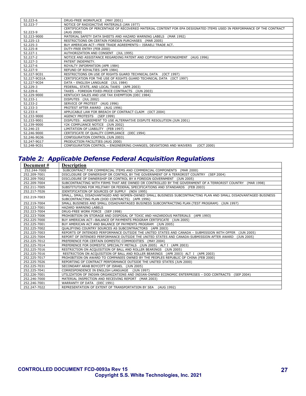| 52.223-6     | DRUG-FREE WORKPLACE (MAY 2001)                                                                                         |
|--------------|------------------------------------------------------------------------------------------------------------------------|
| 52.223-7     | NOTICE OF RADIOACTIVE MATERIALS (JAN 1977)                                                                             |
|              | CERTIFICATION OF PERCENTAGE OF RECOVERED MATERIAL CONTENT FOR EPA DESIGNATED ITEMS USED IN PERFORMANCE OF THE CONTRACT |
| 52.223-9     | (AUG 2000)                                                                                                             |
| 52.223-9000  | MATERIAL SAFETY DATA SHEETS AND HAZARD WARNING LABELS (MAR 1992)                                                       |
| 52.225-13    | RESTRICTIONS ON CERTAIN FOREIGN PURCHASES (MAR 2005)                                                                   |
| 52.225-3     | BUY AMERICAN ACT-FREE TRADE AGREEMENTS- ISRAELI TRADE ACT.                                                             |
| 52.225-8     | DUTY-FREE ENTRY (FEB 2000)                                                                                             |
| 52.227-1     | AUTHORIZATION AND CONSENT (JUL 1995)                                                                                   |
| 52.227-2     | NOTICE AND ASSISTANCE REGARDING PATENT AND COPYRIGHT INFRINGEMENT (AUG 1996)                                           |
| 52.227-3     | PATENT INDEMNITY.                                                                                                      |
| 52.227-6     | ROYALTY INFORMATION (APR 1984)                                                                                         |
| 52.227-9     | REFUND OF ROYALTIES (APR 1984)                                                                                         |
| 52.227-9C01  | RESTRICTIONS ON USE OF RIGHTS GUARD TECHNICAL DATA (OCT 1997)                                                          |
| 52.227-9C01A | CERTIFICATION FOR THE USE OF RIGHTS GUARD TECHNICAL DATA (OCT 1997)                                                    |
| 52.227-9C04  | DATA - ENGLISH LANGUAGE (JUL 1984)                                                                                     |
| 52.229-3     | FEDERAL, STATE, AND LOCAL TAXES (APR 2003)                                                                             |
| 52.229-6     | TAXES - FOREIGN FIXED-PRICE CONTRACTS (JUN 2003)                                                                       |
| 52.229-9000  | KENTUCKY SALES AND USE TAX EXEMPTION (DEC 1984)                                                                        |
| 52.233-1     | DISPUTES (JUL 2002)                                                                                                    |
| 52.233-2     | SERVICE OF PROTEST (AUG 1996)                                                                                          |
| 52.233-3     | PROTEST AFTER AWARD (AUG 1996)                                                                                         |
| 52.233-4     | APPLICABLE LAW FOR BREACH OF CONTRACT CLAIM (OCT 2004)                                                                 |
| 52.233-9000  | AGENCY PROTESTS (SEP 1999)                                                                                             |
| 52.233-9001  | DISPUTES: AGREEMENT TO USE ALTERNATIVE DISPUTE RESOLUTION (JUN 2001)                                                   |
| 52.239-9000  | Y2K COMPLIANCE NOTICE (JUN 2002)                                                                                       |
| 52.246-23    | LIMITATION OF LIABILITY (FEB 1997)                                                                                     |
| 52.246-9000  | CERTIFICATE OF OUALITY COMPLIANCE (DEC 1994)                                                                           |
| 52.246-9G36  | CONFIGURATION CONTROL (JUN 2003)                                                                                       |
| 52.247-9G17  | PRODUCTION FACILITIES (AUG 2000)                                                                                       |
| 52.248-9C01  | CONFIGURATION CONTROL - ENGINEERING CHANGES, DEVIATIONS AND WAIVERS<br>(OCT 2000)                                      |

# *Table 2: Applicable Defense Federal Acquisition Regulations*

| Document #   | <b>Description</b>                                                                                                                                               |  |  |
|--------------|------------------------------------------------------------------------------------------------------------------------------------------------------------------|--|--|
| 252.244-7000 | SUBCONTRACT FOR COMMERCIAL ITEMS AND COMMERCIAL COMPONENTS (MAR 2000)                                                                                            |  |  |
| 252.209-7001 | DISCLOSURE OF OWNERSHIP OR CONTROL BY THE GOVERNMENT OF A TERRORIST COUNTRY (SEP 2004)                                                                           |  |  |
| 252.209-7002 | DISCLOSURE OF OWNERSHIP OR CONTROL BY A FOREIGN GOVERNMENT (JUN 2005)                                                                                            |  |  |
| 252.209-7004 | SUBCONTRACTING WITH FIRMS THAT ARE OWNED OR CONTROLLED BY THE GOVERNMENT OF A TERRORIST COUNTRY<br>(MAR 1998)                                                    |  |  |
| 252.211-7005 | SUBSTITUTIONS FOR MILITARY OR FEDERAL SPECIFICATIONS AND STANDARDS (FEB 2003)                                                                                    |  |  |
| 252.217-7026 | IDENTIFICATION OF SOURCES OF SUPPLY (NOV 1995)                                                                                                                   |  |  |
| 252.219-7003 | SMALL, SMALL DISADVANTAGED AND WOMEN-OWNED SMALL BUSINESS SUBCONTRACTING PLAN AND SMALL DISADVANTAGED BUSINESS<br>SUBCONTRACTING PLAN (DOD CONTRACTS) (APR 1996) |  |  |
| 252.219-7004 | SMALL BUSINESS AND SMALL DISADVANTAGED BUSINESS SUBCONTRACTING PLAN (TEST PROGRAM) (JUN 1997)                                                                    |  |  |
| 252.223-7001 | HAZARD WARNING LABELS                                                                                                                                            |  |  |
| 252.223-7004 | DRUG-FREE WORK FORCE (SEP 1998)                                                                                                                                  |  |  |
| 252.223-7006 | PROHIBITION ON STORAGE AND DISPOSAL OF TOXIC AND HAZARDOUS MATERIALS<br>(APR 1993)                                                                               |  |  |
| 252.225-7000 | BUY AMERICAN ACT-BALANCE OF PAYMENTS PROGRAM CERTIFICATE (JUN 2005)                                                                                              |  |  |
| 252.225-7001 | BUY AMERICAN ACT AND BALANCE OF PAYMENTS PROGRAM (JUN 2005)                                                                                                      |  |  |
| 252.225-7002 | QUALIFYING COUNTRY SOURCES AS SUBCONTRACTORS (APR 2003)                                                                                                          |  |  |
| 252.225-7003 | REPORTS OF INTENDED PERFORMANCE OUTSIDE THE UNITED STATES AND CANADA - SUBMISSION WITH OFFER (JUN 2005)                                                          |  |  |
| 252.225-7004 | REPORT OF INTENDED PERFORMANCE OUTSIDE THE UNITED STATES AND CANADA-SUBMISSION AFTER AWARD (JUN 2005)                                                            |  |  |
| 252.225-7012 | PREFERENCE FOR CERTAIN DOMESTIC COMMODITIES (MAY 2004)                                                                                                           |  |  |
| 252.225-7014 | PREFERENCE FOR DOMESTIC SPECIALTY METALS (JUN 2005) ALT I (APR 2003)                                                                                             |  |  |
| 252.225-7016 | RESTRICTION ON ACQUISITION OF BALL AND ROLLER BEARINGS (JUN 2005)                                                                                                |  |  |
| 252.225-7016 | RESTRICTION ON ACQUISITION OF BALL AND ROLLER BEARINGS (APR 2003) ALT I (APR 2003)                                                                               |  |  |
| 252.225-7017 | PROHIBITION ON AWARD TO COMPANIES OWNED BY THE PEOPLES REPUBLIC OF CHINA (FEB 2000)                                                                              |  |  |
| 252.225-7026 | REPORTING OF CONTRACT PERFORMANCE OUTSIDE THE UNITED STATES (JUN 2000)                                                                                           |  |  |
| 252.225-7031 | SECONDARY ARAB BOYCOTT OF ISRAEL (JUN 2005)                                                                                                                      |  |  |
| 252.225-7041 | CORRESPONDENCE IN ENGLISH LANGUAGE (JUN 1997)                                                                                                                    |  |  |
| 252.226-7001 | UTILIZATION OF INDIAN ORGANIZATIONS AND INDIAN-OWNED ECONOMIC ENTERPRISES - DOD CONTRACTS (SEP 2004)                                                             |  |  |
| 252.246-7000 | MATERIAL INSPECTION AND RECEIVING REPORT (MAR 2003)                                                                                                              |  |  |
| 252.246-7001 | WARRANTY OF DATA (DEC 1991)                                                                                                                                      |  |  |
| 252.247-7022 | REPRESENTATION OF EXTENT OF TRANSPORTATION BY SEA<br>(AUG 1992)                                                                                                  |  |  |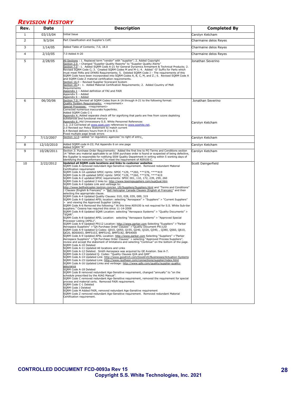# <span id="page-27-0"></span>*REVISION HISTORY*

| Rev.           | Date       | <b>Description</b>                                                                                                                                                                                                                                                                                                                                                                                                                                                                                                                                                                                                                                                                                                                                                                                                                                                                                                                                                                                                                                                                                                                                                                                                                                                                                                                                                                                                                                                                                                                                                                                                                                                                                                                                                                                                                                                                                                                                                                                                                                                                                                                                                                                                                                                                                                                                                                                                                                                                                                                                                                                                                                                                                                                                                                                                                                                                                                                                                                                                                                                                                                                               | <b>Completed By</b>                  |
|----------------|------------|--------------------------------------------------------------------------------------------------------------------------------------------------------------------------------------------------------------------------------------------------------------------------------------------------------------------------------------------------------------------------------------------------------------------------------------------------------------------------------------------------------------------------------------------------------------------------------------------------------------------------------------------------------------------------------------------------------------------------------------------------------------------------------------------------------------------------------------------------------------------------------------------------------------------------------------------------------------------------------------------------------------------------------------------------------------------------------------------------------------------------------------------------------------------------------------------------------------------------------------------------------------------------------------------------------------------------------------------------------------------------------------------------------------------------------------------------------------------------------------------------------------------------------------------------------------------------------------------------------------------------------------------------------------------------------------------------------------------------------------------------------------------------------------------------------------------------------------------------------------------------------------------------------------------------------------------------------------------------------------------------------------------------------------------------------------------------------------------------------------------------------------------------------------------------------------------------------------------------------------------------------------------------------------------------------------------------------------------------------------------------------------------------------------------------------------------------------------------------------------------------------------------------------------------------------------------------------------------------------------------------------------------------------------------------------------------------------------------------------------------------------------------------------------------------------------------------------------------------------------------------------------------------------------------------------------------------------------------------------------------------------------------------------------------------------------------------------------------------------------------------------------------------|--------------------------------------|
| 1              | 03/15/04   | Initial Issue                                                                                                                                                                                                                                                                                                                                                                                                                                                                                                                                                                                                                                                                                                                                                                                                                                                                                                                                                                                                                                                                                                                                                                                                                                                                                                                                                                                                                                                                                                                                                                                                                                                                                                                                                                                                                                                                                                                                                                                                                                                                                                                                                                                                                                                                                                                                                                                                                                                                                                                                                                                                                                                                                                                                                                                                                                                                                                                                                                                                                                                                                                                                    | Carolyn Ketcham                      |
| $\overline{2}$ | 9/3/04     | Part Classification and Supplier's CofC                                                                                                                                                                                                                                                                                                                                                                                                                                                                                                                                                                                                                                                                                                                                                                                                                                                                                                                                                                                                                                                                                                                                                                                                                                                                                                                                                                                                                                                                                                                                                                                                                                                                                                                                                                                                                                                                                                                                                                                                                                                                                                                                                                                                                                                                                                                                                                                                                                                                                                                                                                                                                                                                                                                                                                                                                                                                                                                                                                                                                                                                                                          | Charmaine delos Reyes                |
| 3              | 1/14/05    | Added Table of Contents; 7.0, 18.0                                                                                                                                                                                                                                                                                                                                                                                                                                                                                                                                                                                                                                                                                                                                                                                                                                                                                                                                                                                                                                                                                                                                                                                                                                                                                                                                                                                                                                                                                                                                                                                                                                                                                                                                                                                                                                                                                                                                                                                                                                                                                                                                                                                                                                                                                                                                                                                                                                                                                                                                                                                                                                                                                                                                                                                                                                                                                                                                                                                                                                                                                                               | Charmaine delos Reyes                |
| $\overline{4}$ | 2/10/05    | 7.0 Added A-20                                                                                                                                                                                                                                                                                                                                                                                                                                                                                                                                                                                                                                                                                                                                                                                                                                                                                                                                                                                                                                                                                                                                                                                                                                                                                                                                                                                                                                                                                                                                                                                                                                                                                                                                                                                                                                                                                                                                                                                                                                                                                                                                                                                                                                                                                                                                                                                                                                                                                                                                                                                                                                                                                                                                                                                                                                                                                                                                                                                                                                                                                                                                   | Charmaine delos Reyes                |
| 5              | 2/28/05    | All Sections : 1. Replaced term "vendor" with "supplier"; 2. Added Copyright<br>Section 2.0 - Changed "Supplier Quality Reports" to "Supplier Quality Alerts"<br>Section 7.0: 1. Added SQRM Code A-21 for General Dynamics Armament & Technical Products; 2.<br>Revised SQRM Code C; 3. Created SQRM Codes M and M-1; 4. Added '-D' Suffix for Parts which<br>must meet FARs and DFARS Requirements; 5. Deleted SQRM Code J - The requirements of this<br>SQRM Code have been incorporated into SQRM Codes A, B, C, M, and Z.; 6. Revised SQRM Code A<br>and SQRM Code Z material certification requirements.<br>Section 16.0 - Revised Supplier Scorecard System<br>Section 18.0 : 1. Added Material Certification Requirements; 2. Added Country of Melt<br>Requirements<br>Appendix 1 - Added definition of FAI and FAIR<br>Appendix 5 - Added<br>Appendix 6 - Added                                                                                                                                                                                                                                                                                                                                                                                                                                                                                                                                                                                                                                                                                                                                                                                                                                                                                                                                                                                                                                                                                                                                                                                                                                                                                                                                                                                                                                                                                                                                                                                                                                                                                                                                                                                                                                                                                                                                                                                                                                                                                                                                                                                                                                                                          | Jonathan Severino                    |
| 6              | 06/30/06   | Section 7.0: Revised all SQRM Codes from A-1A through A-21 to the following format:<br>Quality System Requirements: <requirement><br/>Special Processes: <requirement><br/>Corrected numerous inaccurate hyperlinks.<br/>Added SQRM Code C-1<br/>Appendix 4: Added separate check off for signifying that parts are free from ozone depleting<br/>substances and functional mercury<br/>Appendix 6: Hid Unnecessary S.S. White Personnel References<br/>1.2, 2.0 Corrected all www.sswt.com references to www.sswhite.net.<br/>2.0 Revised our Policy Statement to match current<br/>6.4 Revised delivery hours from 8-2 to 8-3.<br/>Fixed multiple page break errors</requirement></requirement>                                                                                                                                                                                                                                                                                                                                                                                                                                                                                                                                                                                                                                                                                                                                                                                                                                                                                                                                                                                                                                                                                                                                                                                                                                                                                                                                                                                                                                                                                                                                                                                                                                                                                                                                                                                                                                                                                                                                                                                                                                                                                                                                                                                                                                                                                                                                                                                                                                                | Jonathan Severino<br>Carolyn Ketcham |
| $\overline{7}$ | 7/13/2007  | Section 12.0-added "or regulatory agencies" to right of entry.                                                                                                                                                                                                                                                                                                                                                                                                                                                                                                                                                                                                                                                                                                                                                                                                                                                                                                                                                                                                                                                                                                                                                                                                                                                                                                                                                                                                                                                                                                                                                                                                                                                                                                                                                                                                                                                                                                                                                                                                                                                                                                                                                                                                                                                                                                                                                                                                                                                                                                                                                                                                                                                                                                                                                                                                                                                                                                                                                                                                                                                                                   | Carolyn Ketcham                      |
| 8              | 12/10/2010 | Added SQRM code A-22; Put Appendix 6 on one page<br>Added SQRM "R"                                                                                                                                                                                                                                                                                                                                                                                                                                                                                                                                                                                                                                                                                                                                                                                                                                                                                                                                                                                                                                                                                                                                                                                                                                                                                                                                                                                                                                                                                                                                                                                                                                                                                                                                                                                                                                                                                                                                                                                                                                                                                                                                                                                                                                                                                                                                                                                                                                                                                                                                                                                                                                                                                                                                                                                                                                                                                                                                                                                                                                                                               | Carolyn Ketcham                      |
| 9              | 10/28/2011 | Section 3: Purchase Order Requirements: Added the first line to PO Terms and Conditions section<br>14 "When any material applicable to an SSW purchase order is found or suspected of being defective.<br>the Supplier is responsible for notifying SSW Quality Department in writing within 5 working days of<br>identifying the nonconformance." to meet the requirement of AS9100 C.                                                                                                                                                                                                                                                                                                                                                                                                                                                                                                                                                                                                                                                                                                                                                                                                                                                                                                                                                                                                                                                                                                                                                                                                                                                                                                                                                                                                                                                                                                                                                                                                                                                                                                                                                                                                                                                                                                                                                                                                                                                                                                                                                                                                                                                                                                                                                                                                                                                                                                                                                                                                                                                                                                                                                          | Carolyn Ketcham                      |
| 10             | 2/22/2012  | Updated all SQRM code locations and links to customer websites<br>SORM Code A removed redundant Age-Sensitive requirement. Removed redundant Material<br>Certification requirement<br>SQRM Code A-1A updated SPOC rqmts: SPOC *129, **260, ***276, ****419<br>SQRM Code A-1B updated SPOC rqmts: SPOC *129, **260, ***276, ****419<br>SQRM Code A-2 updated SPOC requirements: SPOC 001, 110, 172, 239, 259, 260<br>SQRM Code A-3 updated 2 links to: http://www.boeingsuppliers.com/supQual.htm<br>SQRM Code A-4 Update Link and verbiage to:<br>http://www.bellhelicopter.textron.com/en_US/Suppliers/Suppliers.html and "Terms and Conditions"<br>Clauses (English & Francais)" > "Bell Helicopter Canada Clauses (English et Francais)" and then<br>selecting the appropriate clause.<br>SQRM Code A-4 Updated Quality Clauses: 010, 028, 039, 089, 319<br>SQRM Code A-5 Updated APSL location: selecting "Aerospace" > "Suppliers" > "Current Suppliers"<br>> and viewing the Approved Supplier Listing<br>SQRM Code A-6 Removed the following:" At this time AS9100 is not required for S.S. White Sub-tier<br>suppliers." Cessna has required this since 11-14-2008<br>SQRM Code A-8 Updated SQAR Location: selecting "Aerospace Systems" > "Quality Documents" ><br>"SQAR".<br>SQRM Code A-8 Updated APSL Location: selecting "Aerospace Systems" > "Approved Special<br>Processor Listing (APSL)".<br>SQRM Code A-9 Updated P9112 Location: http://www.parker.com Selecting "Suppliers" > "Parker<br>Aerospace Suppliers" > "QA Purchase Order Clauses" > "Quality Document P9112D<br>SQRM Code A-9 Updated Q Codes: Q010, Q050, Q155, Q240, Q320, Q340, , Q380, Q560, Q610,<br>Q620, BDS0003, BMF5103, BMF5142, BMF5182, BPS4000<br>SQRM Code A-9 Updated APSL Location: http://www.parker.com Selecting "Suppliers" >"Parker<br>Aerospace Suppliers" > "QA Purchase Order Clauses" > selecting "Approved Process Suppliers",<br>review and accept the statement of limitations and selecting "Continue" on the bottom of the page.<br>SQRM Code A-10 Deleted<br>SQRM Code A-11 Updated All locations and Links<br>SQRM Code A-12 Deleted. Smith Aerospace was acquired by GE Aviation. See A-7.<br>SQRM Code A-13 Updated Q- Codes: "Quality Clauses Q2A and Q4R"<br>SQRM Code A-14 Updated Link: http://www.goodrich.com/Goodrich/Businesses/Actuation-Systems<br>SQRM Code A-15 Updated Link: http://www.raytheon.com/connections/supplier/index.html<br>SQRM Code A-16 Updated Links and verbiage: http://www.gdls.com/guality/supplier-quality-<br>assurance<br>SQRM Code A-18 Deleted<br>SQRM Code B removed redundant Age-Sensitive requirement, changed "annually" to "on the<br>schedule prescribed by the AIAG Manual".<br>SQRM Code C removed redundant Age-Sensitive requirement, removed the requirement for special<br>process and material certs. Removed FAIR requirement.<br>SQRM Code C-1 Deleted<br>SQRM Code J Deleted<br>SQRM Code M Added FAIR, removed redundant Age-Sensitive requirement<br>SQRM Code Z removed redundant Age-Sensitive requirement. Removed redundant Material<br>Certification requirement. | Scott Daingerfield                   |